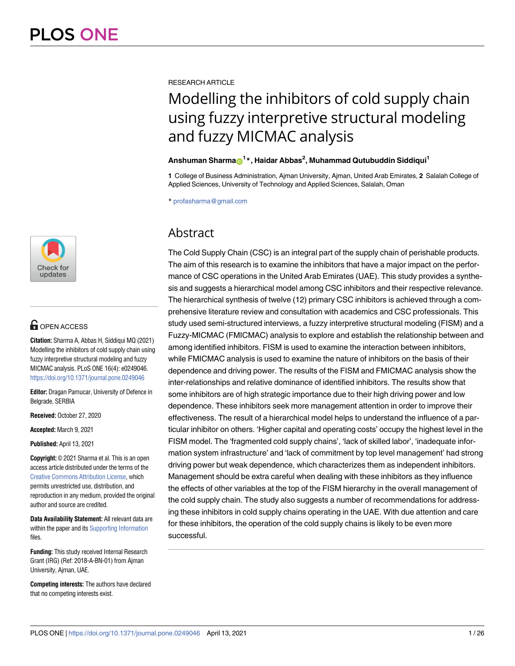

## **OPEN ACCESS**

**Citation:** Sharma A, Abbas H, Siddiqui MQ (2021) Modelling the inhibitors of cold supply chain using fuzzy interpretive structural modeling and fuzzy MICMAC analysis. PLoS ONE 16(4): e0249046. <https://doi.org/10.1371/journal.pone.0249046>

**Editor:** Dragan Pamucar, University of Defence in Belgrade, SERBIA

**Received:** October 27, 2020

**Accepted:** March 9, 2021

**Published:** April 13, 2021

**Copyright:** © 2021 Sharma et al. This is an open access article distributed under the terms of the [Creative Commons Attribution License,](http://creativecommons.org/licenses/by/4.0/) which permits unrestricted use, distribution, and reproduction in any medium, provided the original author and source are credited.

**Data Availability Statement:** All relevant data are within the paper and its [Supporting Information](#page-20-0) files.

**Funding:** This study received Internal Research Grant (IRG) (Ref: 2018-A-BN-01) from Ajman University, Ajman, UAE.

**Competing interests:** The authors have declared that no competing interests exist.

RESEARCH ARTICLE

# Modelling the inhibitors of cold supply chain using fuzzy interpretive structural modeling and fuzzy MICMAC analysis

## $\Lambda$ nshuman Sharma $\odot$ <sup>1</sup>\*, Haidar Abbas<sup>2</sup>, Muhammad Qutubuddin Siddiqui<sup>1</sup>

**1** College of Business Administration, Ajman University, Ajman, United Arab Emirates, **2** Salalah College of Applied Sciences, University of Technology and Applied Sciences, Salalah, Oman

\* profasharma@gmail.com

## Abstract

The Cold Supply Chain (CSC) is an integral part of the supply chain of perishable products. The aim of this research is to examine the inhibitors that have a major impact on the performance of CSC operations in the United Arab Emirates (UAE). This study provides a synthesis and suggests a hierarchical model among CSC inhibitors and their respective relevance. The hierarchical synthesis of twelve (12) primary CSC inhibitors is achieved through a comprehensive literature review and consultation with academics and CSC professionals. This study used semi-structured interviews, a fuzzy interpretive structural modeling (FISM) and a Fuzzy-MICMAC (FMICMAC) analysis to explore and establish the relationship between and among identified inhibitors. FISM is used to examine the interaction between inhibitors, while FMICMAC analysis is used to examine the nature of inhibitors on the basis of their dependence and driving power. The results of the FISM and FMICMAC analysis show the inter-relationships and relative dominance of identified inhibitors. The results show that some inhibitors are of high strategic importance due to their high driving power and low dependence. These inhibitors seek more management attention in order to improve their effectiveness. The result of a hierarchical model helps to understand the influence of a particular inhibitor on others. 'Higher capital and operating costs' occupy the highest level in the FISM model. The 'fragmented cold supply chains', 'lack of skilled labor', 'inadequate information system infrastructure' and 'lack of commitment by top level management' had strong driving power but weak dependence, which characterizes them as independent inhibitors. Management should be extra careful when dealing with these inhibitors as they influence the effects of other variables at the top of the FISM hierarchy in the overall management of the cold supply chain. The study also suggests a number of recommendations for addressing these inhibitors in cold supply chains operating in the UAE. With due attention and care for these inhibitors, the operation of the cold supply chains is likely to be even more successful.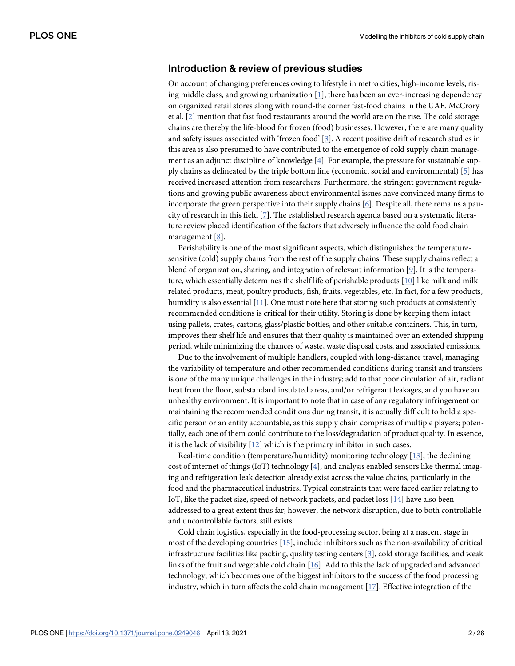## <span id="page-1-0"></span>**Introduction & review of previous studies**

On account of changing preferences owing to lifestyle in metro cities, high-income levels, rising middle class, and growing urbanization  $[1]$  $[1]$ , there has been an ever-increasing dependency on organized retail stores along with round-the corner fast-food chains in the UAE. McCrory et al. [\[2\]](#page-21-0) mention that fast food restaurants around the world are on the rise. The cold storage chains are thereby the life-blood for frozen (food) businesses. However, there are many quality and safety issues associated with 'frozen food' [[3\]](#page-21-0). A recent positive drift of research studies in this area is also presumed to have contributed to the emergence of cold supply chain management as an adjunct discipline of knowledge  $[4]$  $[4]$ . For example, the pressure for sustainable supply chains as delineated by the triple bottom line (economic, social and environmental) [\[5\]](#page-21-0) has received increased attention from researchers. Furthermore, the stringent government regulations and growing public awareness about environmental issues have convinced many firms to incorporate the green perspective into their supply chains [\[6](#page-21-0)]. Despite all, there remains a paucity of research in this field [[7](#page-21-0)]. The established research agenda based on a systematic literature review placed identification of the factors that adversely influence the cold food chain management [[8](#page-21-0)].

Perishability is one of the most significant aspects, which distinguishes the temperaturesensitive (cold) supply chains from the rest of the supply chains. These supply chains reflect a blend of organization, sharing, and integration of relevant information [\[9](#page-21-0)]. It is the temperature, which essentially determines the shelf life of perishable products [[10](#page-21-0)] like milk and milk related products, meat, poultry products, fish, fruits, vegetables, etc. In fact, for a few products, humidity is also essential  $[11]$ . One must note here that storing such products at consistently recommended conditions is critical for their utility. Storing is done by keeping them intact using pallets, crates, cartons, glass/plastic bottles, and other suitable containers. This, in turn, improves their shelf life and ensures that their quality is maintained over an extended shipping period, while minimizing the chances of waste, waste disposal costs, and associated emissions.

Due to the involvement of multiple handlers, coupled with long-distance travel, managing the variability of temperature and other recommended conditions during transit and transfers is one of the many unique challenges in the industry; add to that poor circulation of air, radiant heat from the floor, substandard insulated areas, and/or refrigerant leakages, and you have an unhealthy environment. It is important to note that in case of any regulatory infringement on maintaining the recommended conditions during transit, it is actually difficult to hold a specific person or an entity accountable, as this supply chain comprises of multiple players; potentially, each one of them could contribute to the loss/degradation of product quality. In essence, it is the lack of visibility [[12](#page-21-0)] which is the primary inhibitor in such cases.

Real-time condition (temperature/humidity) monitoring technology [\[13\]](#page-21-0), the declining cost of internet of things (IoT) technology  $[4]$  $[4]$ , and analysis enabled sensors like thermal imaging and refrigeration leak detection already exist across the value chains, particularly in the food and the pharmaceutical industries. Typical constraints that were faced earlier relating to IoT, like the packet size, speed of network packets, and packet loss [[14](#page-21-0)] have also been addressed to a great extent thus far; however, the network disruption, due to both controllable and uncontrollable factors, still exists.

Cold chain logistics, especially in the food-processing sector, being at a nascent stage in most of the developing countries [[15](#page-21-0)], include inhibitors such as the non-availability of critical infrastructure facilities like packing, quality testing centers [\[3](#page-21-0)], cold storage facilities, and weak links of the fruit and vegetable cold chain [\[16\]](#page-21-0). Add to this the lack of upgraded and advanced technology, which becomes one of the biggest inhibitors to the success of the food processing industry, which in turn affects the cold chain management [[17](#page-21-0)]. Effective integration of the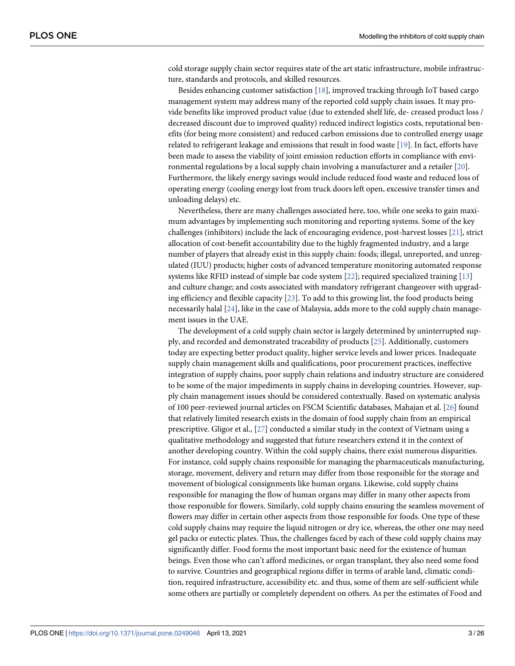<span id="page-2-0"></span>cold storage supply chain sector requires state of the art static infrastructure, mobile infrastructure, standards and protocols, and skilled resources.

Besides enhancing customer satisfaction [[18](#page-21-0)], improved tracking through IoT based cargo management system may address many of the reported cold supply chain issues. It may provide benefits like improved product value (due to extended shelf life, de- creased product loss / decreased discount due to improved quality) reduced indirect logistics costs, reputational benefits (for being more consistent) and reduced carbon emissions due to controlled energy usage related to refrigerant leakage and emissions that result in food waste [\[19\]](#page-21-0). In fact, efforts have been made to assess the viability of joint emission reduction efforts in compliance with environmental regulations by a local supply chain involving a manufacturer and a retailer [[20](#page-21-0)]. Furthermore, the likely energy savings would include reduced food waste and reduced loss of operating energy (cooling energy lost from truck doors left open, excessive transfer times and unloading delays) etc.

Nevertheless, there are many challenges associated here, too, while one seeks to gain maximum advantages by implementing such monitoring and reporting systems. Some of the key challenges (inhibitors) include the lack of encouraging evidence, post-harvest losses [\[21\]](#page-22-0), strict allocation of cost-benefit accountability due to the highly fragmented industry, and a large number of players that already exist in this supply chain: foods; illegal, unreported, and unregulated (IUU) products; higher costs of advanced temperature monitoring automated response systems like RFID instead of simple bar code system [[22](#page-22-0)]; required specialized training [\[13\]](#page-21-0) and culture change; and costs associated with mandatory refrigerant changeover with upgrading efficiency and flexible capacity [[23](#page-22-0)]. To add to this growing list, the food products being necessarily halal [[24](#page-22-0)], like in the case of Malaysia, adds more to the cold supply chain management issues in the UAE.

The development of a cold supply chain sector is largely determined by uninterrupted supply, and recorded and demonstrated traceability of products [\[25\]](#page-22-0). Additionally, customers today are expecting better product quality, higher service levels and lower prices. Inadequate supply chain management skills and qualifications, poor procurement practices, ineffective integration of supply chains, poor supply chain relations and industry structure are considered to be some of the major impediments in supply chains in developing countries. However, supply chain management issues should be considered contextually. Based on systematic analysis of 100 peer-reviewed journal articles on FSCM Scientific databases, Mahajan et al. [\[26\]](#page-22-0) found that relatively limited research exists in the domain of food supply chain from an empirical prescriptive. Gligor et al., [[27](#page-22-0)] conducted a similar study in the context of Vietnam using a qualitative methodology and suggested that future researchers extend it in the context of another developing country. Within the cold supply chains, there exist numerous disparities. For instance, cold supply chains responsible for managing the pharmaceuticals manufacturing, storage, movement, delivery and return may differ from those responsible for the storage and movement of biological consignments like human organs. Likewise, cold supply chains responsible for managing the flow of human organs may differ in many other aspects from those responsible for flowers. Similarly, cold supply chains ensuring the seamless movement of flowers may differ in certain other aspects from those responsible for foods. One type of these cold supply chains may require the liquid nitrogen or dry ice, whereas, the other one may need gel packs or eutectic plates. Thus, the challenges faced by each of these cold supply chains may significantly differ. Food forms the most important basic need for the existence of human beings. Even those who can't afford medicines, or organ transplant, they also need some food to survive. Countries and geographical regions differ in terms of arable land, climatic condition, required infrastructure, accessibility etc. and thus, some of them are self-sufficient while some others are partially or completely dependent on others. As per the estimates of Food and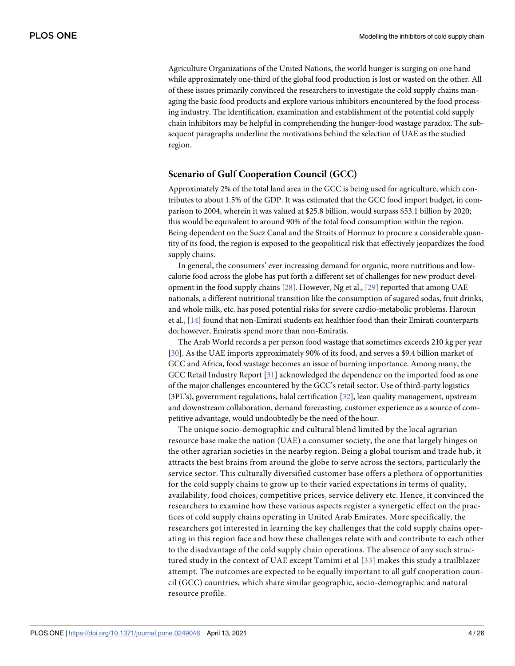<span id="page-3-0"></span>Agriculture Organizations of the United Nations, the world hunger is surging on one hand while approximately one-third of the global food production is lost or wasted on the other. All of these issues primarily convinced the researchers to investigate the cold supply chains managing the basic food products and explore various inhibitors encountered by the food processing industry. The identification, examination and establishment of the potential cold supply chain inhibitors may be helpful in comprehending the hunger-food wastage paradox. The subsequent paragraphs underline the motivations behind the selection of UAE as the studied region.

#### **Scenario of Gulf Cooperation Council (GCC)**

Approximately 2% of the total land area in the GCC is being used for agriculture, which contributes to about 1.5% of the GDP. It was estimated that the GCC food import budget, in comparison to 2004, wherein it was valued at \$25.8 billion, would surpass \$53.1 billion by 2020; this would be equivalent to around 90% of the total food consumption within the region. Being dependent on the Suez Canal and the Straits of Hormuz to procure a considerable quantity of its food, the region is exposed to the geopolitical risk that effectively jeopardizes the food supply chains.

In general, the consumers' ever increasing demand for organic, more nutritious and lowcalorie food across the globe has put forth a different set of challenges for new product development in the food supply chains [[28](#page-22-0)]. However, Ng et al., [\[29\]](#page-22-0) reported that among UAE nationals, a different nutritional transition like the consumption of sugared sodas, fruit drinks, and whole milk, etc. has posed potential risks for severe cardio-metabolic problems. Haroun et al., [\[14\]](#page-21-0) found that non-Emirati students eat healthier food than their Emirati counterparts do; however, Emiratis spend more than non-Emiratis.

The Arab World records a per person food wastage that sometimes exceeds 210 kg per year [\[30\]](#page-22-0). As the UAE imports approximately 90% of its food, and serves a \$9.4 billion market of GCC and Africa, food wastage becomes an issue of burning importance. Among many, the GCC Retail Industry Report [\[31\]](#page-22-0) acknowledged the dependence on the imported food as one of the major challenges encountered by the GCC's retail sector. Use of third-party logistics (3PL's), government regulations, halal certification  $[32]$ , lean quality management, upstream and downstream collaboration, demand forecasting, customer experience as a source of competitive advantage, would undoubtedly be the need of the hour.

The unique socio-demographic and cultural blend limited by the local agrarian resource base make the nation (UAE) a consumer society, the one that largely hinges on the other agrarian societies in the nearby region. Being a global tourism and trade hub, it attracts the best brains from around the globe to serve across the sectors, particularly the service sector. This culturally diversified customer base offers a plethora of opportunities for the cold supply chains to grow up to their varied expectations in terms of quality, availability, food choices, competitive prices, service delivery etc. Hence, it convinced the researchers to examine how these various aspects register a synergetic effect on the practices of cold supply chains operating in United Arab Emirates. More specifically, the researchers got interested in learning the key challenges that the cold supply chains operating in this region face and how these challenges relate with and contribute to each other to the disadvantage of the cold supply chain operations. The absence of any such structured study in the context of UAE except Tamimi et al [[33](#page-22-0)] makes this study a trailblazer attempt. The outcomes are expected to be equally important to all gulf cooperation council (GCC) countries, which share similar geographic, socio-demographic and natural resource profile.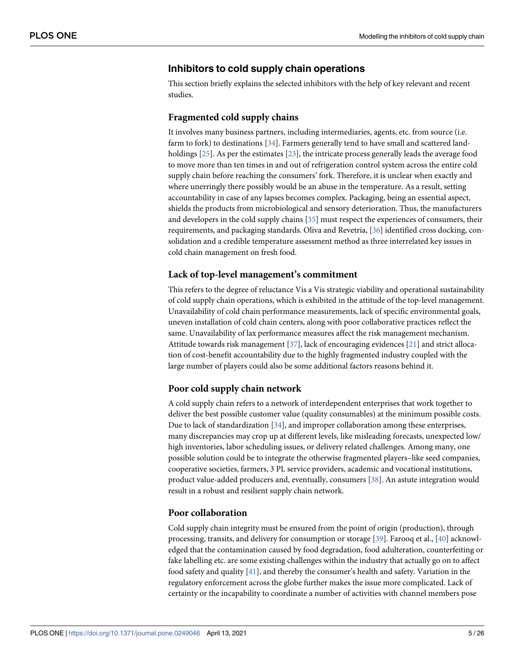## <span id="page-4-0"></span>**Inhibitors to cold supply chain operations**

This section briefly explains the selected inhibitors with the help of key relevant and recent studies.

### **Fragmented cold supply chains**

It involves many business partners, including intermediaries, agents, etc. from source (i.e. farm to fork) to destinations [\[34\]](#page-22-0). Farmers generally tend to have small and scattered landholdings [\[25\]](#page-22-0). As per the estimates [[23](#page-22-0)], the intricate process generally leads the average food to move more than ten times in and out of refrigeration control system across the entire cold supply chain before reaching the consumers' fork. Therefore, it is unclear when exactly and where unerringly there possibly would be an abuse in the temperature. As a result, setting accountability in case of any lapses becomes complex. Packaging, being an essential aspect, shields the products from microbiological and sensory deterioration. Thus, the manufacturers and developers in the cold supply chains [\[35\]](#page-22-0) must respect the experiences of consumers, their requirements, and packaging standards. Oliva and Revetria, [[36](#page-22-0)] identified cross docking, consolidation and a credible temperature assessment method as three interrelated key issues in cold chain management on fresh food.

## **Lack of top-level management's commitment**

This refers to the degree of reluctance Vis a Vis strategic viability and operational sustainability of cold supply chain operations, which is exhibited in the attitude of the top-level management. Unavailability of cold chain performance measurements, lack of specific environmental goals, uneven installation of cold chain centers, along with poor collaborative practices reflect the same. Unavailability of lax performance measures affect the risk management mechanism. Attitude towards risk management [\[37\]](#page-22-0), lack of encouraging evidences [\[21\]](#page-22-0) and strict allocation of cost-benefit accountability due to the highly fragmented industry coupled with the large number of players could also be some additional factors reasons behind it.

### **Poor cold supply chain network**

A cold supply chain refers to a network of interdependent enterprises that work together to deliver the best possible customer value (quality consumables) at the minimum possible costs. Due to lack of standardization  $[34]$  $[34]$  $[34]$ , and improper collaboration among these enterprises, many discrepancies may crop up at different levels, like misleading forecasts, unexpected low/ high inventories, labor scheduling issues, or delivery related challenges. Among many, one possible solution could be to integrate the otherwise fragmented players–like seed companies, cooperative societies, farmers, 3 PL service providers, academic and vocational institutions, product value-added producers and, eventually, consumers [\[38\]](#page-22-0). An astute integration would result in a robust and resilient supply chain network.

## **Poor collaboration**

Cold supply chain integrity must be ensured from the point of origin (production), through processing, transits, and delivery for consumption or storage [\[39\]](#page-22-0). Farooq et al., [[40](#page-22-0)] acknowledged that the contamination caused by food degradation, food adulteration, counterfeiting or fake labelling etc. are some existing challenges within the industry that actually go on to affect food safety and quality  $[41]$  $[41]$  $[41]$ , and thereby the consumer's health and safety. Variation in the regulatory enforcement across the globe further makes the issue more complicated. Lack of certainty or the incapability to coordinate a number of activities with channel members pose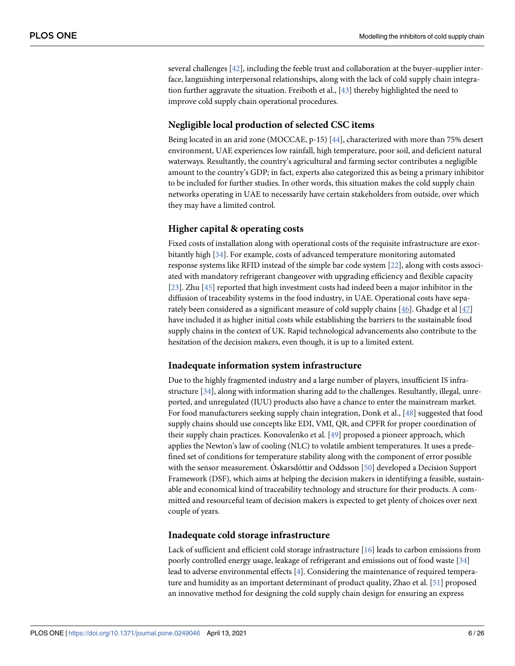<span id="page-5-0"></span>several challenges [[42](#page-22-0)], including the feeble trust and collaboration at the buyer-supplier interface, languishing interpersonal relationships, along with the lack of cold supply chain integration further aggravate the situation. Freiboth et al., [[43](#page-22-0)] thereby highlighted the need to improve cold supply chain operational procedures.

## **Negligible local production of selected CSC items**

Being located in an arid zone (MOCCAE, p-15) [[44](#page-22-0)], characterized with more than 75% desert environment, UAE experiences low rainfall, high temperature, poor soil, and deficient natural waterways. Resultantly, the country's agricultural and farming sector contributes a negligible amount to the country's GDP; in fact, experts also categorized this as being a primary inhibitor to be included for further studies. In other words, this situation makes the cold supply chain networks operating in UAE to necessarily have certain stakeholders from outside, over which they may have a limited control.

## **Higher capital & operating costs**

Fixed costs of installation along with operational costs of the requisite infrastructure are exorbitantly high [\[34\]](#page-22-0). For example, costs of advanced temperature monitoring automated response systems like RFID instead of the simple bar code system [[22](#page-22-0)], along with costs associated with mandatory refrigerant changeover with upgrading efficiency and flexible capacity [\[23\]](#page-22-0). Zhu [[45](#page-22-0)] reported that high investment costs had indeed been a major inhibitor in the diffusion of traceability systems in the food industry, in UAE. Operational costs have separately been considered as a significant measure of cold supply chains [ $46$ ]. Ghadge et al [ $47$ ] have included it as higher initial costs while establishing the barriers to the sustainable food supply chains in the context of UK. Rapid technological advancements also contribute to the hesitation of the decision makers, even though, it is up to a limited extent.

### **Inadequate information system infrastructure**

Due to the highly fragmented industry and a large number of players, insufficient IS infrastructure [[34](#page-22-0)], along with information sharing add to the challenges. Resultantly, illegal, unreported, and unregulated (IUU) products also have a chance to enter the mainstream market. For food manufacturers seeking supply chain integration, Donk et al., [\[48\]](#page-23-0) suggested that food supply chains should use concepts like EDI, VMI, QR, and CPFR for proper coordination of their supply chain practices. Konovalenko et al. [\[49\]](#page-23-0) proposed a pioneer approach, which applies the Newton's law of cooling (NLC) to volatile ambient temperatures. It uses a predefined set of conditions for temperature stability along with the component of error possible with the sensor measurement. Oskarsdottir and Oddsson  $[50]$  $[50]$  $[50]$  developed a Decision Support Framework (DSF), which aims at helping the decision makers in identifying a feasible, sustainable and economical kind of traceability technology and structure for their products. A committed and resourceful team of decision makers is expected to get plenty of choices over next couple of years.

#### **Inadequate cold storage infrastructure**

Lack of sufficient and efficient cold storage infrastructure [[16](#page-21-0)] leads to carbon emissions from poorly controlled energy usage, leakage of refrigerant and emissions out of food waste [[34](#page-22-0)] lead to adverse environmental effects [[4](#page-21-0)]. Considering the maintenance of required temperature and humidity as an important determinant of product quality, Zhao et al. [\[51\]](#page-23-0) proposed an innovative method for designing the cold supply chain design for ensuring an express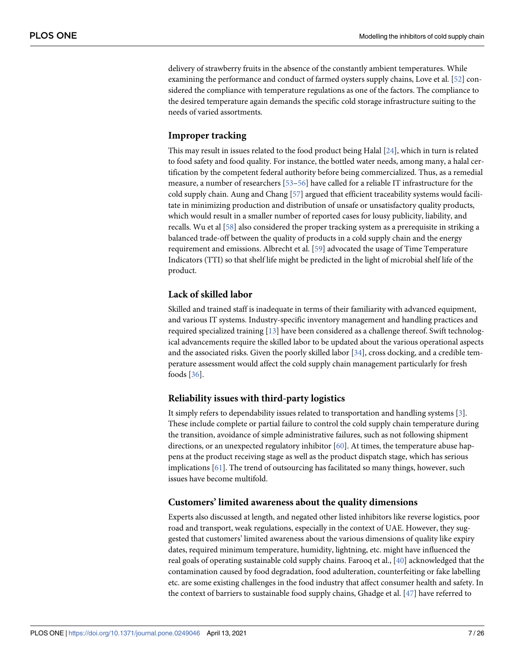<span id="page-6-0"></span>delivery of strawberry fruits in the absence of the constantly ambient temperatures. While examining the performance and conduct of farmed oysters supply chains, Love et al. [[52](#page-23-0)] considered the compliance with temperature regulations as one of the factors. The compliance to the desired temperature again demands the specific cold storage infrastructure suiting to the needs of varied assortments.

## **Improper tracking**

This may result in issues related to the food product being Halal [\[24\]](#page-22-0), which in turn is related to food safety and food quality. For instance, the bottled water needs, among many, a halal certification by the competent federal authority before being commercialized. Thus, as a remedial measure, a number of researchers [\[53–56\]](#page-23-0) have called for a reliable IT infrastructure for the cold supply chain. Aung and Chang [[57](#page-23-0)] argued that efficient traceability systems would facilitate in minimizing production and distribution of unsafe or unsatisfactory quality products, which would result in a smaller number of reported cases for lousy publicity, liability, and recalls. Wu et al [\[58\]](#page-23-0) also considered the proper tracking system as a prerequisite in striking a balanced trade-off between the quality of products in a cold supply chain and the energy requirement and emissions. Albrecht et al. [\[59\]](#page-23-0) advocated the usage of Time Temperature Indicators (TTI) so that shelf life might be predicted in the light of microbial shelf life of the product.

## **Lack of skilled labor**

Skilled and trained staff is inadequate in terms of their familiarity with advanced equipment, and various IT systems. Industry-specific inventory management and handling practices and required specialized training [\[13\]](#page-21-0) have been considered as a challenge thereof. Swift technological advancements require the skilled labor to be updated about the various operational aspects and the associated risks. Given the poorly skilled labor [[34](#page-22-0)], cross docking, and a credible temperature assessment would affect the cold supply chain management particularly for fresh foods [[36\]](#page-22-0).

### **Reliability issues with third-party logistics**

It simply refers to dependability issues related to transportation and handling systems [\[3\]](#page-21-0). These include complete or partial failure to control the cold supply chain temperature during the transition, avoidance of simple administrative failures, such as not following shipment directions, or an unexpected regulatory inhibitor [[60](#page-23-0)]. At times, the temperature abuse happens at the product receiving stage as well as the product dispatch stage, which has serious implications  $[61]$ . The trend of outsourcing has facilitated so many things, however, such issues have become multifold.

### **Customers' limited awareness about the quality dimensions**

Experts also discussed at length, and negated other listed inhibitors like reverse logistics, poor road and transport, weak regulations, especially in the context of UAE. However, they suggested that customers' limited awareness about the various dimensions of quality like expiry dates, required minimum temperature, humidity, lightning, etc. might have influenced the real goals of operating sustainable cold supply chains. Farooq et al., [\[40\]](#page-22-0) acknowledged that the contamination caused by food degradation, food adulteration, counterfeiting or fake labelling etc. are some existing challenges in the food industry that affect consumer health and safety. In the context of barriers to sustainable food supply chains, Ghadge et al.  $[47]$  $[47]$  $[47]$  have referred to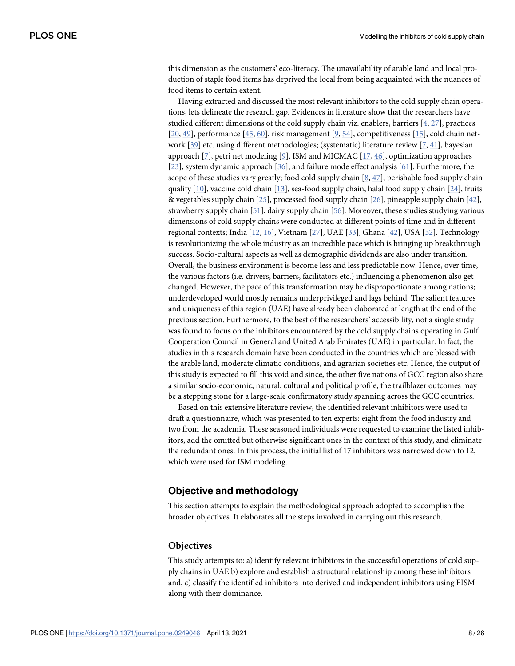<span id="page-7-0"></span>this dimension as the customers' eco-literacy. The unavailability of arable land and local production of staple food items has deprived the local from being acquainted with the nuances of food items to certain extent.

Having extracted and discussed the most relevant inhibitors to the cold supply chain operations, lets delineate the research gap. Evidences in literature show that the researchers have studied different dimensions of the cold supply chain viz. enablers, barriers [\[4](#page-21-0), [27](#page-22-0)], practices  $[20, 49]$  $[20, 49]$  $[20, 49]$ , performance  $[45, 60]$  $[45, 60]$  $[45, 60]$  $[45, 60]$  $[45, 60]$ , risk management  $[9, 54]$  $[9, 54]$  $[9, 54]$  $[9, 54]$ , competitiveness  $[15]$  $[15]$  $[15]$ , cold chain net-work [\[39\]](#page-22-0) etc. using different methodologies; (systematic) literature review [\[7,](#page-21-0) [41\]](#page-22-0), bayesian approach  $[7]$  $[7]$ , petri net modeling  $[9]$ , ISM and MICMAC  $[17, 46]$  $[17, 46]$  $[17, 46]$ , optimization approaches [\[23\]](#page-22-0), system dynamic approach [\[36\]](#page-22-0), and failure mode effect analysis [[61](#page-23-0)]. Furthermore, the scope of these studies vary greatly; food cold supply chain [[8](#page-21-0), [47](#page-23-0)], perishable food supply chain quality  $[10]$  $[10]$  $[10]$ , vaccine cold chain  $[13]$ , sea-food supply chain, halal food supply chain  $[24]$ , fruits & vegetables supply chain [[25](#page-22-0)], processed food supply chain [\[26\]](#page-22-0), pineapple supply chain [[42](#page-22-0)], strawberry supply chain [[51](#page-23-0)], dairy supply chain [[56](#page-23-0)]. Moreover, these studies studying various dimensions of cold supply chains were conducted at different points of time and in different regional contexts; India [\[12,](#page-21-0) [16\]](#page-21-0), Vietnam [\[27\]](#page-22-0), UAE [[33](#page-22-0)], Ghana [[42](#page-22-0)], USA [\[52\]](#page-23-0). Technology is revolutionizing the whole industry as an incredible pace which is bringing up breakthrough success. Socio-cultural aspects as well as demographic dividends are also under transition. Overall, the business environment is become less and less predictable now. Hence, over time, the various factors (i.e. drivers, barriers, facilitators etc.) influencing a phenomenon also get changed. However, the pace of this transformation may be disproportionate among nations; underdeveloped world mostly remains underprivileged and lags behind. The salient features and uniqueness of this region (UAE) have already been elaborated at length at the end of the previous section. Furthermore, to the best of the researchers' accessibility, not a single study was found to focus on the inhibitors encountered by the cold supply chains operating in Gulf Cooperation Council in General and United Arab Emirates (UAE) in particular. In fact, the studies in this research domain have been conducted in the countries which are blessed with the arable land, moderate climatic conditions, and agrarian societies etc. Hence, the output of this study is expected to fill this void and since, the other five nations of GCC region also share a similar socio-economic, natural, cultural and political profile, the trailblazer outcomes may be a stepping stone for a large-scale confirmatory study spanning across the GCC countries.

Based on this extensive literature review, the identified relevant inhibitors were used to draft a questionnaire, which was presented to ten experts: eight from the food industry and two from the academia. These seasoned individuals were requested to examine the listed inhibitors, add the omitted but otherwise significant ones in the context of this study, and eliminate the redundant ones. In this process, the initial list of 17 inhibitors was narrowed down to 12, which were used for ISM modeling.

## **Objective and methodology**

This section attempts to explain the methodological approach adopted to accomplish the broader objectives. It elaborates all the steps involved in carrying out this research.

### **Objectives**

This study attempts to: a) identify relevant inhibitors in the successful operations of cold supply chains in UAE b) explore and establish a structural relationship among these inhibitors and, c) classify the identified inhibitors into derived and independent inhibitors using FISM along with their dominance.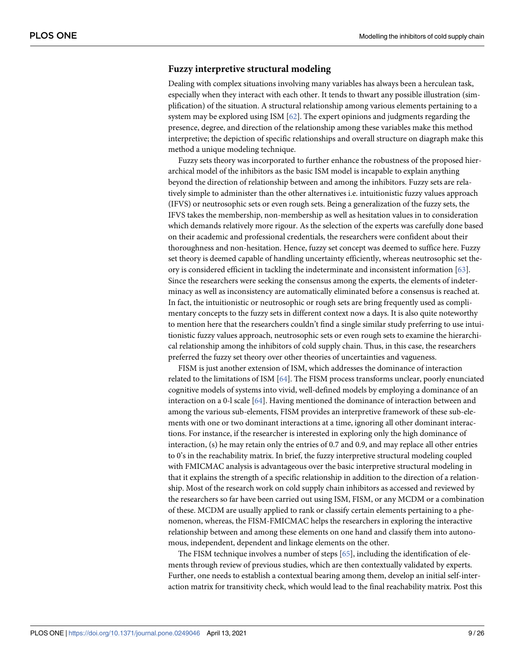#### <span id="page-8-0"></span>**Fuzzy interpretive structural modeling**

Dealing with complex situations involving many variables has always been a herculean task, especially when they interact with each other. It tends to thwart any possible illustration (simplification) of the situation. A structural relationship among various elements pertaining to a system may be explored using ISM [[62](#page-23-0)]. The expert opinions and judgments regarding the presence, degree, and direction of the relationship among these variables make this method interpretive; the depiction of specific relationships and overall structure on diagraph make this method a unique modeling technique.

Fuzzy sets theory was incorporated to further enhance the robustness of the proposed hierarchical model of the inhibitors as the basic ISM model is incapable to explain anything beyond the direction of relationship between and among the inhibitors. Fuzzy sets are relatively simple to administer than the other alternatives i.e. intuitionistic fuzzy values approach (IFVS) or neutrosophic sets or even rough sets. Being a generalization of the fuzzy sets, the IFVS takes the membership, non-membership as well as hesitation values in to consideration which demands relatively more rigour. As the selection of the experts was carefully done based on their academic and professional credentials, the researchers were confident about their thoroughness and non-hesitation. Hence, fuzzy set concept was deemed to suffice here. Fuzzy set theory is deemed capable of handling uncertainty efficiently, whereas neutrosophic set theory is considered efficient in tackling the indeterminate and inconsistent information [\[63\]](#page-23-0). Since the researchers were seeking the consensus among the experts, the elements of indeterminacy as well as inconsistency are automatically eliminated before a consensus is reached at. In fact, the intuitionistic or neutrosophic or rough sets are bring frequently used as complimentary concepts to the fuzzy sets in different context now a days. It is also quite noteworthy to mention here that the researchers couldn't find a single similar study preferring to use intuitionistic fuzzy values approach, neutrosophic sets or even rough sets to examine the hierarchical relationship among the inhibitors of cold supply chain. Thus, in this case, the researchers preferred the fuzzy set theory over other theories of uncertainties and vagueness.

FISM is just another extension of ISM, which addresses the dominance of interaction related to the limitations of ISM  $[64]$ . The FISM process transforms unclear, poorly enunciated cognitive models of systems into vivid, well-defined models by employing a dominance of an interaction on a 0-l scale [[64](#page-23-0)]. Having mentioned the dominance of interaction between and among the various sub-elements, FISM provides an interpretive framework of these sub-elements with one or two dominant interactions at a time, ignoring all other dominant interactions. For instance, if the researcher is interested in exploring only the high dominance of interaction, (s) he may retain only the entries of 0.7 and 0.9, and may replace all other entries to 0's in the reachability matrix. In brief, the fuzzy interpretive structural modeling coupled with FMICMAC analysis is advantageous over the basic interpretive structural modeling in that it explains the strength of a specific relationship in addition to the direction of a relationship. Most of the research work on cold supply chain inhibitors as accessed and reviewed by the researchers so far have been carried out using ISM, FISM, or any MCDM or a combination of these. MCDM are usually applied to rank or classify certain elements pertaining to a phenomenon, whereas, the FISM-FMICMAC helps the researchers in exploring the interactive relationship between and among these elements on one hand and classify them into autonomous, independent, dependent and linkage elements on the other.

The FISM technique involves a number of steps [[65](#page-23-0)], including the identification of elements through review of previous studies, which are then contextually validated by experts. Further, one needs to establish a contextual bearing among them, develop an initial self-interaction matrix for transitivity check, which would lead to the final reachability matrix. Post this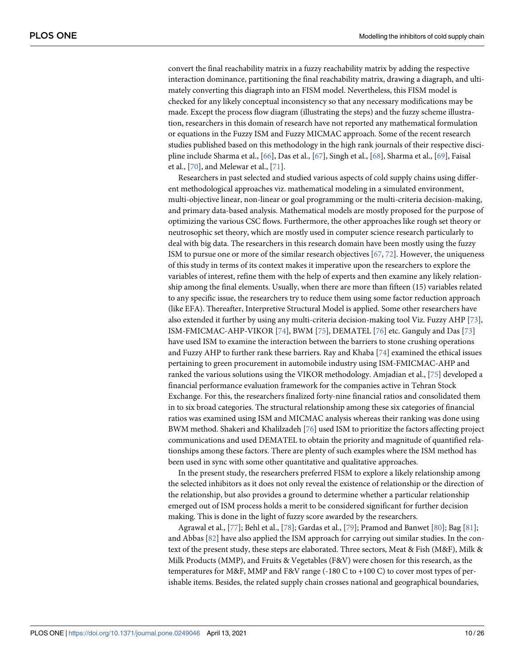<span id="page-9-0"></span>convert the final reachability matrix in a fuzzy reachability matrix by adding the respective interaction dominance, partitioning the final reachability matrix, drawing a diagraph, and ultimately converting this diagraph into an FISM model. Nevertheless, this FISM model is checked for any likely conceptual inconsistency so that any necessary modifications may be made. Except the process flow diagram (illustrating the steps) and the fuzzy scheme illustration, researchers in this domain of research have not reported any mathematical formulation or equations in the Fuzzy ISM and Fuzzy MICMAC approach. Some of the recent research studies published based on this methodology in the high rank journals of their respective discipline include Sharma et al., [\[66\]](#page-23-0), Das et al., [\[67\]](#page-23-0), Singh et al., [\[68\]](#page-23-0), Sharma et al., [[69](#page-23-0)], Faisal et al., [\[70\]](#page-23-0), and Melewar et al., [\[71\]](#page-24-0).

Researchers in past selected and studied various aspects of cold supply chains using different methodological approaches viz. mathematical modeling in a simulated environment, multi-objective linear, non-linear or goal programming or the multi-criteria decision-making, and primary data-based analysis. Mathematical models are mostly proposed for the purpose of optimizing the various CSC flows. Furthermore, the other approaches like rough set theory or neutrosophic set theory, which are mostly used in computer science research particularly to deal with big data. The researchers in this research domain have been mostly using the fuzzy ISM to pursue one or more of the similar research objectives  $[67, 72]$  $[67, 72]$  $[67, 72]$  $[67, 72]$ . However, the uniqueness of this study in terms of its context makes it imperative upon the researchers to explore the variables of interest, refine them with the help of experts and then examine any likely relationship among the final elements. Usually, when there are more than fifteen (15) variables related to any specific issue, the researchers try to reduce them using some factor reduction approach (like EFA). Thereafter, Interpretive Structural Model is applied. Some other researchers have also extended it further by using any multi-criteria decision-making tool Viz. Fuzzy AHP [\[73\]](#page-24-0), ISM-FMICMAC-AHP-VIKOR [[74](#page-24-0)], BWM [\[75\]](#page-24-0), DEMATEL [\[76\]](#page-24-0) etc. Ganguly and Das [\[73\]](#page-24-0) have used ISM to examine the interaction between the barriers to stone crushing operations and Fuzzy AHP to further rank these barriers. Ray and Khaba [\[74\]](#page-24-0) examined the ethical issues pertaining to green procurement in automobile industry using ISM-FMICMAC-AHP and ranked the various solutions using the VIKOR methodology. Amjadian et al., [[75](#page-24-0)] developed a financial performance evaluation framework for the companies active in Tehran Stock Exchange. For this, the researchers finalized forty-nine financial ratios and consolidated them in to six broad categories. The structural relationship among these six categories of financial ratios was examined using ISM and MICMAC analysis whereas their ranking was done using BWM method. Shakeri and Khalilzadeh [[76](#page-24-0)] used ISM to prioritize the factors affecting project communications and used DEMATEL to obtain the priority and magnitude of quantified relationships among these factors. There are plenty of such examples where the ISM method has been used in sync with some other quantitative and qualitative approaches.

In the present study, the researchers preferred FISM to explore a likely relationship among the selected inhibitors as it does not only reveal the existence of relationship or the direction of the relationship, but also provides a ground to determine whether a particular relationship emerged out of ISM process holds a merit to be considered significant for further decision making. This is done in the light of fuzzy score awarded by the researchers.

Agrawal et al., [[77](#page-24-0)]; Behl et al., [\[78\]](#page-24-0); Gardas et al., [[79](#page-24-0)]; Pramod and Banwet [\[80\]](#page-24-0); Bag [[81](#page-24-0)]; and Abbas [[82](#page-24-0)] have also applied the ISM approach for carrying out similar studies. In the context of the present study, these steps are elaborated. Three sectors, Meat & Fish (M&F), Milk & Milk Products (MMP), and Fruits & Vegetables (F&V) were chosen for this research, as the temperatures for M&F, MMP and F&V range (-180 C to +100 C) to cover most types of perishable items. Besides, the related supply chain crosses national and geographical boundaries,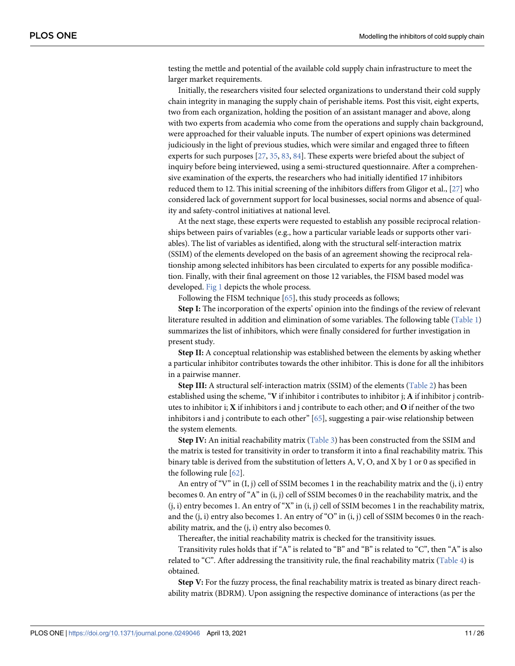<span id="page-10-0"></span>testing the mettle and potential of the available cold supply chain infrastructure to meet the larger market requirements.

Initially, the researchers visited four selected organizations to understand their cold supply chain integrity in managing the supply chain of perishable items. Post this visit, eight experts, two from each organization, holding the position of an assistant manager and above, along with two experts from academia who come from the operations and supply chain background, were approached for their valuable inputs. The number of expert opinions was determined judiciously in the light of previous studies, which were similar and engaged three to fifteen experts for such purposes [[27](#page-22-0), [35](#page-22-0), [83](#page-24-0), [84](#page-24-0)]. These experts were briefed about the subject of inquiry before being interviewed, using a semi-structured questionnaire. After a comprehensive examination of the experts, the researchers who had initially identified 17 inhibitors reduced them to 12. This initial screening of the inhibitors differs from Gligor et al., [[27\]](#page-22-0) who considered lack of government support for local businesses, social norms and absence of quality and safety-control initiatives at national level.

At the next stage, these experts were requested to establish any possible reciprocal relationships between pairs of variables (e.g., how a particular variable leads or supports other variables). The list of variables as identified, along with the structural self-interaction matrix (SSIM) of the elements developed on the basis of an agreement showing the reciprocal relationship among selected inhibitors has been circulated to experts for any possible modification. Finally, with their final agreement on those 12 variables, the FISM based model was developed. [Fig 1](#page-11-0) depicts the whole process.

Following the FISM technique [[65](#page-23-0)], this study proceeds as follows;

**Step I:** The incorporation of the experts' opinion into the findings of the review of relevant literature resulted in addition and elimination of some variables. The following table [\(Table 1](#page-12-0)) summarizes the list of inhibitors, which were finally considered for further investigation in present study.

**Step II:** A conceptual relationship was established between the elements by asking whether a particular inhibitor contributes towards the other inhibitor. This is done for all the inhibitors in a pairwise manner.

**Step III:** A structural self-interaction matrix (SSIM) of the elements [\(Table 2](#page-12-0)) has been established using the scheme, "**V** if inhibitor i contributes to inhibitor j; **A** if inhibitor j contributes to inhibitor i; **X** if inhibitors i and j contribute to each other; and **O** if neither of the two inhibitors i and j contribute to each other"  $[65]$  $[65]$  $[65]$ , suggesting a pair-wise relationship between the system elements.

**Step IV:** An initial reachability matrix ([Table 3\)](#page-13-0) has been constructed from the SSIM and the matrix is tested for transitivity in order to transform it into a final reachability matrix. This binary table is derived from the substitution of letters A, V, O, and X by 1 or 0 as specified in the following rule [[62](#page-23-0)].

An entry of "V" in  $(I, j)$  cell of SSIM becomes 1 in the reachability matrix and the  $(i, i)$  entry becomes 0. An entry of "A" in (i, j) cell of SSIM becomes 0 in the reachability matrix, and the  $(i, i)$  entry becomes 1. An entry of "X" in  $(i, j)$  cell of SSIM becomes 1 in the reachability matrix, and the  $(i, i)$  entry also becomes 1. An entry of "O" in  $(i, j)$  cell of SSIM becomes 0 in the reachability matrix, and the (j, i) entry also becomes 0.

Thereafter, the initial reachability matrix is checked for the transitivity issues.

Transitivity rules holds that if "A" is related to "B" and "B" is related to "C", then "A" is also related to "C". After addressing the transitivity rule, the final reachability matrix [\(Table 4\)](#page-13-0) is obtained.

**Step V:** For the fuzzy process, the final reachability matrix is treated as binary direct reachability matrix (BDRM). Upon assigning the respective dominance of interactions (as per the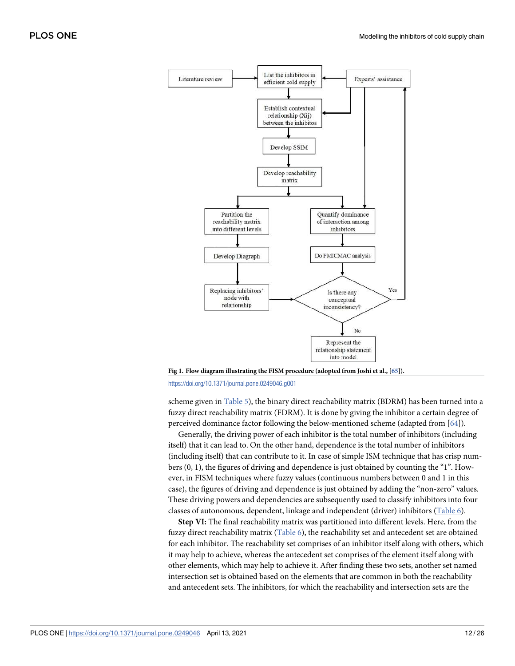<span id="page-11-0"></span>

**[Fig 1. F](#page-10-0)low diagram illustrating the FISM procedure (adopted from Joshi et al., [[65](#page-23-0)]).** <https://doi.org/10.1371/journal.pone.0249046.g001>

scheme given in [Table 5](#page-14-0)), the binary direct reachability matrix (BDRM) has been turned into a fuzzy direct reachability matrix (FDRM). It is done by giving the inhibitor a certain degree of perceived dominance factor following the below-mentioned scheme (adapted from [\[64\]](#page-23-0)).

Generally, the driving power of each inhibitor is the total number of inhibitors (including itself) that it can lead to. On the other hand, dependence is the total number of inhibitors (including itself) that can contribute to it. In case of simple ISM technique that has crisp numbers (0, 1), the figures of driving and dependence is just obtained by counting the "1". However, in FISM techniques where fuzzy values (continuous numbers between 0 and 1 in this case), the figures of driving and dependence is just obtained by adding the "non-zero" values. These driving powers and dependencies are subsequently used to classify inhibitors into four classes of autonomous, dependent, linkage and independent (driver) inhibitors [\(Table 6](#page-14-0)).

**Step VI:** The final reachability matrix was partitioned into different levels. Here, from the fuzzy direct reachability matrix [\(Table 6\)](#page-14-0), the reachability set and antecedent set are obtained for each inhibitor. The reachability set comprises of an inhibitor itself along with others, which it may help to achieve, whereas the antecedent set comprises of the element itself along with other elements, which may help to achieve it. After finding these two sets, another set named intersection set is obtained based on the elements that are common in both the reachability and antecedent sets. The inhibitors, for which the reachability and intersection sets are the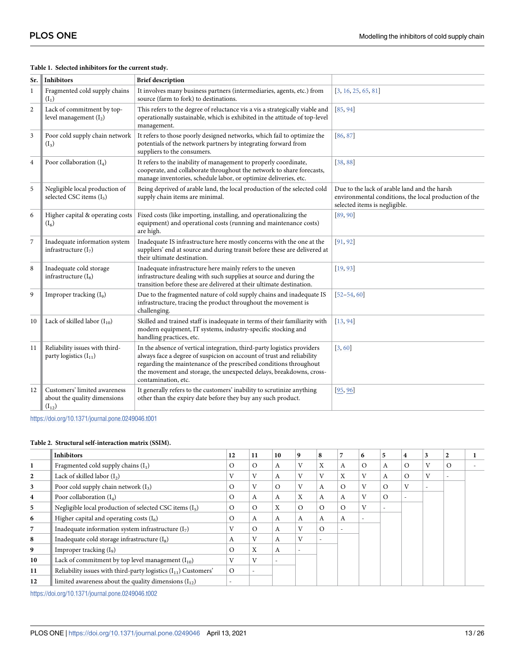| Sr.          | <b>Inhibitors</b>                                                          | <b>Brief description</b>                                                                                                                                                                                                                                                                                            |                                                                                                                                        |
|--------------|----------------------------------------------------------------------------|---------------------------------------------------------------------------------------------------------------------------------------------------------------------------------------------------------------------------------------------------------------------------------------------------------------------|----------------------------------------------------------------------------------------------------------------------------------------|
| $\mathbf{1}$ | Fragmented cold supply chains<br>$(I_1)$                                   | It involves many business partners (intermediaries, agents, etc.) from<br>source (farm to fork) to destinations.                                                                                                                                                                                                    | [3, 16, 25, 65, 81]                                                                                                                    |
| 2            | Lack of commitment by top-<br>level management $(I_2)$                     | This refers to the degree of reluctance vis a vis a strategically viable and<br>operationally sustainable, which is exhibited in the attitude of top-level<br>management.                                                                                                                                           | [85, 94]                                                                                                                               |
| 3            | Poor cold supply chain network<br>$(I_3)$                                  | It refers to those poorly designed networks, which fail to optimize the<br>potentials of the network partners by integrating forward from<br>suppliers to the consumers.                                                                                                                                            | [86, 87]                                                                                                                               |
| 4            | Poor collaboration $(I_4)$                                                 | It refers to the inability of management to properly coordinate,<br>cooperate, and collaborate throughout the network to share forecasts,<br>manage inventories, schedule labor, or optimize deliveries, etc.                                                                                                       | [38, 88]                                                                                                                               |
| 5            | Negligible local production of<br>selected CSC items $(I_5)$               | Being deprived of arable land, the local production of the selected cold<br>supply chain items are minimal.                                                                                                                                                                                                         | Due to the lack of arable land and the harsh<br>environmental conditions, the local production of the<br>selected items is negligible. |
| 6            | Higher capital & operating costs<br>$(I_6)$                                | Fixed costs (like importing, installing, and operationalizing the<br>equipment) and operational costs (running and maintenance costs)<br>are high.                                                                                                                                                                  | [89, 90]                                                                                                                               |
| 7            | Inadequate information system<br>infrastructure $(I_7)$                    | Inadequate IS infrastructure here mostly concerns with the one at the<br>suppliers' end at source and during transit before these are delivered at<br>their ultimate destination.                                                                                                                                   | [91, 92]                                                                                                                               |
| 8            | Inadequate cold storage<br>infrastructure $(I_8)$                          | Inadequate infrastructure here mainly refers to the uneven<br>infrastructure dealing with such supplies at source and during the<br>transition before these are delivered at their ultimate destination.                                                                                                            | 19,93                                                                                                                                  |
| 9            | Improper tracking (I <sub>9</sub> )                                        | Due to the fragmented nature of cold supply chains and inadequate IS<br>infrastructure, tracing the product throughout the movement is<br>challenging.                                                                                                                                                              | $[52 - 54, 60]$                                                                                                                        |
| 10           | Lack of skilled labor $(I_{10})$                                           | Skilled and trained staff is inadequate in terms of their familiarity with<br>modern equipment, IT systems, industry-specific stocking and<br>handling practices, etc.                                                                                                                                              | [13, 94]                                                                                                                               |
| 11           | Reliability issues with third-<br>party logistics $(I_{11})$               | In the absence of vertical integration, third-party logistics providers<br>always face a degree of suspicion on account of trust and reliability<br>regarding the maintenance of the prescribed conditions throughout<br>the movement and storage, the unexpected delays, breakdowns, cross-<br>contamination, etc. | [3, 60]                                                                                                                                |
| 12           | Customers' limited awareness<br>about the quality dimensions<br>$(I_{12})$ | It generally refers to the customers' inability to scrutinize anything<br>other than the expiry date before they buy any such product.                                                                                                                                                                              | [95, 96]                                                                                                                               |

#### <span id="page-12-0"></span>**[Table 1.](#page-10-0) Selected inhibitors for the current study.**

<https://doi.org/10.1371/journal.pone.0249046.t001>

#### **[Table 2.](#page-10-0) Structural self-interaction matrix (SSIM).**

|    | <b>Inhibitors</b>                                                   | 12       | 11                | 10           | 9        | 8        |                           | 6 | 5                        | 4                        | 3                        | $\mathbf{2}$ |  |
|----|---------------------------------------------------------------------|----------|-------------------|--------------|----------|----------|---------------------------|---|--------------------------|--------------------------|--------------------------|--------------|--|
|    | Fragmented cold supply chains $(I_1)$                               | $\Omega$ | $\Omega$          | A            | V        | X        | A                         | O | A                        | $\circ$                  | $\mathbf{V}$             | O            |  |
|    | Lack of skilled labor $(I_2)$                                       | V        | V                 | А            | T        | V        | $\mathbf{v}$<br>$\Lambda$ | T | А                        | $\Omega$                 | V                        |              |  |
| 3  | Poor cold supply chain network $(I_3)$                              |          | $\mathbf{V}$      | $\Omega$     | V        | А        | $\Omega$                  |   | $\Omega$                 | $\mathbf{V}$             | $\overline{\phantom{a}}$ |              |  |
| 4  | Poor collaboration $(I_4)$                                          | $\Omega$ | A                 | $\mathsf{A}$ | X        | А        | A                         |   | $\Omega$                 | $\overline{\phantom{a}}$ |                          |              |  |
| 5  | Negligible local production of selected CSC items $(I_5)$           | $\Omega$ | $\Omega$          | X            | $\Omega$ | $\Omega$ | $\Omega$                  | T | $\overline{\phantom{a}}$ |                          |                          |              |  |
| 6  | Higher capital and operating costs $(I_6)$                          | $\circ$  | А                 | A            | A        | A        | A                         |   |                          |                          |                          |              |  |
|    | Inadequate information system infrastructure $(I_7)$                | V        | $\Omega$          | A            | V        | $\Omega$ | ۰                         |   |                          |                          |                          |              |  |
| 8  | Inadequate cold storage infrastructure $(I_8)$                      | A        |                   | A            | V        |          |                           |   |                          |                          |                          |              |  |
| 9  | Improper tracking $(I_9)$                                           | $\Omega$ | $\mathbf{v}$<br>л | A            |          |          |                           |   |                          |                          |                          |              |  |
| 10 | Lack of commitment by top level management $(I_{10})$               | V        | $\overline{V}$    |              |          |          |                           |   |                          |                          |                          |              |  |
| 11 | Reliability issues with third-party logistics $(I_{11})$ Customers' | $\Omega$ |                   |              |          |          |                           |   |                          |                          |                          |              |  |
| 12 | limited awareness about the quality dimensions $(I_{12})$           |          |                   |              |          |          |                           |   |                          |                          |                          |              |  |

<https://doi.org/10.1371/journal.pone.0249046.t002>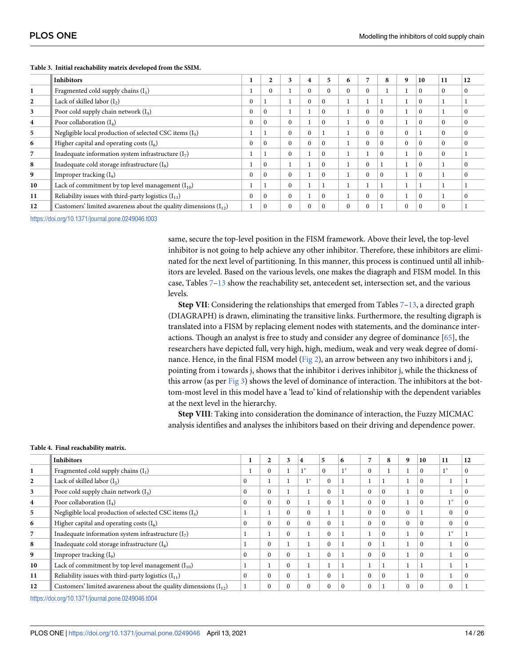|                  | <b>Inhibitors</b>                                                    |          | $\mathbf{2}$ | 3        | 4        | 5        | 6        | 7        | 8        | 10       | 11           | 12           |
|------------------|----------------------------------------------------------------------|----------|--------------|----------|----------|----------|----------|----------|----------|----------|--------------|--------------|
|                  | Fragmented cold supply chains $(I_1)$                                |          | $\Omega$     |          | $\Omega$ | $\Omega$ | $\Omega$ | $\Omega$ |          | $\Omega$ | $\Omega$     | $\mathbf{0}$ |
|                  | Lack of skilled labor $(I_2)$                                        | $\Omega$ |              |          | $\Omega$ | $\Omega$ |          |          |          | $\Omega$ |              |              |
| 3                | Poor cold supply chain network $(I_3)$                               |          | $\Omega$     |          |          | $\Omega$ |          | $\theta$ | $\Omega$ | $\Omega$ |              | $\Omega$     |
| $\boldsymbol{4}$ | Poor collaboration $(I_4)$                                           | $\Omega$ | $\Omega$     | $\Omega$ |          | $\Omega$ |          | $\theta$ | $\Omega$ | $\Omega$ | $\Omega$     | $\Omega$     |
| 5                | Negligible local production of selected CSC items $(I_5)$            |          |              | $\Omega$ | $\Omega$ |          |          | $\theta$ | $\Omega$ |          | $\mathbf{0}$ | $\theta$     |
| 6                | Higher capital and operating costs $(I_6)$                           | $\theta$ | $\Omega$     | $\Omega$ | $\Omega$ | $\Omega$ |          | $\theta$ | $\Omega$ | $\Omega$ | $\Omega$     | $\theta$     |
|                  | Inadequate information system infrastructure $(I_7)$                 |          |              | $\Omega$ |          | $\Omega$ |          |          | $\Omega$ | $\Omega$ | $\mathbf{0}$ |              |
| 8                | Inadequate cold storage infrastructure $(I_8)$                       |          | $\Omega$     |          |          | $\Omega$ |          | $\theta$ |          | $\Omega$ |              | $\Omega$     |
| 9                | Improper tracking $(I_9)$                                            | $\theta$ | $\Omega$     | $\Omega$ |          | $\Omega$ |          | $\theta$ | $\Omega$ | $\Omega$ |              | $\Omega$     |
| 10               | Lack of commitment by top level management $(I_{10})$                |          |              | $\Omega$ |          |          |          |          |          |          |              |              |
| 11               | Reliability issues with third-party logistics $(I_{11})$             | $\theta$ | $\Omega$     | $\Omega$ |          | $\Omega$ |          | $\Omega$ | $\Omega$ | $\Omega$ |              | $\Omega$     |
| 12               | Customers' limited awareness about the quality dimensions $(I_{12})$ |          | $\Omega$     | $\Omega$ | $\Omega$ | $\Omega$ | $\Omega$ | $\theta$ |          | $\Omega$ | $\Omega$     |              |

#### <span id="page-13-0"></span>**[Table 3.](#page-10-0) Initial reachability matrix developed from the SSIM.**

<https://doi.org/10.1371/journal.pone.0249046.t003>

same, secure the top-level position in the FISM framework. Above their level, the top-level inhibitor is not going to help achieve any other inhibitor. Therefore, these inhibitors are eliminated for the next level of partitioning. In this manner, this process is continued until all inhibitors are leveled. Based on the various levels, one makes the diagraph and FISM model. In this case, Tables [7–](#page-15-0)[13](#page-16-0) show the reachability set, antecedent set, intersection set, and the various levels.

**Step VII**: Considering the relationships that emerged from Tables  $7-13$  $7-13$ , a directed graph (DIAGRAPH) is drawn, eliminating the transitive links. Furthermore, the resulting digraph is translated into a FISM by replacing element nodes with statements, and the dominance interactions. Though an analyst is free to study and consider any degree of dominance [\[65\]](#page-23-0), the researchers have depicted full, very high, high, medium, weak and very weak degree of domi-nance. Hence, in the final FISM model [\(Fig 2\)](#page-17-0), an arrow between any two inhibitors i and j, pointing from i towards j, shows that the inhibitor i derives inhibitor j, while the thickness of this arrow (as per [Fig 3](#page-17-0)) shows the level of dominance of interaction. The inhibitors at the bottom-most level in this model have a 'lead to' kind of relationship with the dependent variables at the next level in the hierarchy.

**Step VIII**: Taking into consideration the dominance of interaction, the Fuzzy MICMAC analysis identifies and analyses the inhibitors based on their driving and dependence power.

#### **[Table 4.](#page-10-0) Final reachability matrix.**

|    | <b>Inhibitors</b>                                                   | ш        | $\overline{2}$ | 3          | $\overline{\mathbf{4}}$ | 5            | 6        | 7        | 8        | 9        | 10       | 11       | 12       |
|----|---------------------------------------------------------------------|----------|----------------|------------|-------------------------|--------------|----------|----------|----------|----------|----------|----------|----------|
|    | Fragmented cold supply chains $(I_1)$                               |          | $\theta$       |            | $1^*$                   | $\mathbf{0}$ | $1*$     | $\Omega$ |          |          |          | $1*$     |          |
|    | Lack of skilled labor $(I_2)$                                       | $\theta$ |                |            | 1 *                     | $\Omega$     |          |          |          |          | $\Omega$ |          |          |
| 3  | Poor cold supply chain network $(I_3)$                              | $\Omega$ | $\theta$       |            |                         | $\Omega$     |          | $\Omega$ | $\Omega$ |          | $\Omega$ |          |          |
| 4  | Poor collaboration $(I_4)$                                          | $\Omega$ | $\theta$       | $\Omega$   |                         | $\Omega$     |          | $\Omega$ | $\Omega$ |          | 0        | $1*$     |          |
| 5  | Negligible local production of selected CSC items (I <sub>5</sub> ) |          |                | $\Omega$   | $\Omega$                |              |          | $\Omega$ | $\Omega$ | $\Omega$ |          | $\theta$ |          |
| 6  | Higher capital and operating costs $(I_6)$                          | $\Omega$ | $\theta$       | $\Omega$   | $\Omega$                | $\Omega$     |          | $\Omega$ | $\Omega$ | $\Omega$ | 0        | $\theta$ |          |
|    | Inadequate information system infrastructure $(I_7)$                |          |                | $\Omega$   |                         | $\Omega$     |          |          | $\Omega$ |          | 0        | 1 *      |          |
| 8  | Inadequate cold storage infrastructure (I <sub>8</sub> )            |          | $\Omega$       |            |                         | $\Omega$     |          | $\Omega$ |          |          | $\Omega$ |          | $\Omega$ |
| 9  | Improper tracking $(I_9)$                                           | $\Omega$ | $\Omega$       | $\Omega$   |                         | $\Omega$     |          | $\Omega$ | $\Omega$ |          | $\Omega$ |          |          |
| 10 | Lack of commitment by top level management $(I_{10})$               |          |                | $\Omega$   |                         |              |          |          |          |          |          |          |          |
| 11 | Reliability issues with third-party logistics $(I_{11})$            |          | $\Omega$       | $\Omega$   |                         | $\Omega$     |          | $\Omega$ | $\Omega$ |          | $\Omega$ |          | $\Omega$ |
| 12 | Customers' limited awareness about the quality dimensions $(I_1, )$ |          | 0              | $\sqrt{ }$ | 0                       | $\theta$     | $\theta$ | $\Omega$ |          | $\theta$ |          | $\theta$ |          |

<https://doi.org/10.1371/journal.pone.0249046.t004>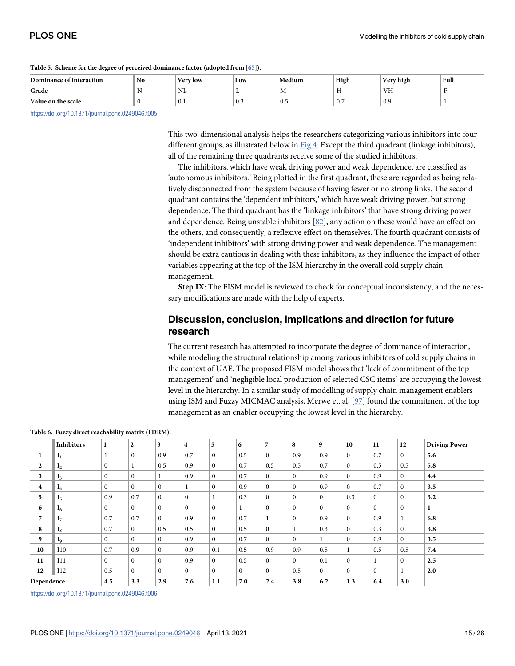| Dominance of interaction | No | <b>x</b> 7<br><b>Very low</b> | Low             | Medium         | High                     | $ -$<br>Verv high | Full |
|--------------------------|----|-------------------------------|-----------------|----------------|--------------------------|-------------------|------|
| Grade                    |    | NL                            | .,              | <b>IVI</b>     | $\sim$<br>$\blacksquare$ | VH                |      |
| Value on the scale       |    | 0.1                           | $\Omega$<br>U.J | $^{\circ}$ 0.5 | $\mathbf{r}$<br>U.7      | 0.9               |      |

#### <span id="page-14-0"></span>**[Table 5.](#page-11-0) Scheme for the degree of perceived dominance factor (adopted from [\[65\]](#page-23-0)).**

<https://doi.org/10.1371/journal.pone.0249046.t005>

This two-dimensional analysis helps the researchers categorizing various inhibitors into four different groups, as illustrated below in [Fig 4.](#page-18-0) Except the third quadrant (linkage inhibitors), all of the remaining three quadrants receive some of the studied inhibitors.

The inhibitors, which have weak driving power and weak dependence, are classified as 'autonomous inhibitors.' Being plotted in the first quadrant, these are regarded as being relatively disconnected from the system because of having fewer or no strong links. The second quadrant contains the 'dependent inhibitors,' which have weak driving power, but strong dependence. The third quadrant has the 'linkage inhibitors' that have strong driving power and dependence. Being unstable inhibitors [\[82\]](#page-24-0), any action on these would have an effect on the others, and consequently, a reflexive effect on themselves. The fourth quadrant consists of 'independent inhibitors' with strong driving power and weak dependence. The management should be extra cautious in dealing with these inhibitors, as they influence the impact of other variables appearing at the top of the ISM hierarchy in the overall cold supply chain management.

**Step IX**: The FISM model is reviewed to check for conceptual inconsistency, and the necessary modifications are made with the help of experts.

## **Discussion, conclusion, implications and direction for future research**

The current research has attempted to incorporate the degree of dominance of interaction, while modeling the structural relationship among various inhibitors of cold supply chains in the context of UAE. The proposed FISM model shows that 'lack of commitment of the top management' and 'negligible local production of selected CSC items' are occupying the lowest level in the hierarchy. In a similar study of modelling of supply chain management enablers using ISM and Fuzzy MICMAC analysis, Merwe et. al,  $[97]$  $[97]$  $[97]$  found the commitment of the top management as an enabler occupying the lowest level in the hierarchy.

|                         | <b>Inhibitors</b> | 1            | $\overline{2}$ | 3            | 4            | 5                | 6            | $\overline{7}$ | 8            | 9            | 10           | 11           | 12           | <b>Driving Power</b> |
|-------------------------|-------------------|--------------|----------------|--------------|--------------|------------------|--------------|----------------|--------------|--------------|--------------|--------------|--------------|----------------------|
| -1                      | 1 <sub>1</sub>    |              | $\mathbf{0}$   | 0.9          | 0.7          | $\bf{0}$         | 0.5          | $\mathbf{0}$   | 0.9          | 0.9          | $\mathbf{0}$ | 0.7          | $\Omega$     | 5.6                  |
| $\overline{2}$          | 1 <sub>2</sub>    | $\bf{0}$     |                | 0.5          | 0.9          | $\boldsymbol{0}$ | 0.7          | 0.5            | 0.5          | 0.7          | $\mathbf{0}$ | 0.5          | 0.5          | 5.8                  |
| 3                       | 1 <sub>3</sub>    | $\mathbf{0}$ | $\mathbf{0}$   | 1            | 0.9          | $\mathbf{0}$     | 0.7          | $\mathbf{0}$   | $\Omega$     | 0.9          | $\mathbf{0}$ | 0.9          | $\mathbf{0}$ | 4.4                  |
| $\overline{\mathbf{4}}$ | 1 <sub>4</sub>    | $\mathbf{0}$ | $\mathbf{0}$   | $\mathbf{0}$ |              | $\bf{0}$         | 0.9          | $\mathbf{0}$   | $\mathbf{0}$ | 0.9          | $\mathbf{0}$ | 0.7          | $\mathbf{0}$ | 3.5                  |
| 5                       | 1 <sub>5</sub>    | 0.9          | 0.7            | $\Omega$     | $\mathbf{0}$ |                  | 0.3          | $\mathbf{0}$   | $\mathbf{0}$ | $\mathbf{0}$ | 0.3          | $\mathbf{0}$ | $\Omega$     | 3.2                  |
| 6                       | 1 <sub>6</sub>    | $\mathbf{0}$ | $\mathbf{0}$   | $\Omega$     | $\Omega$     | $\mathbf{0}$     |              | $\mathbf{0}$   | $\Omega$     | $\mathbf{0}$ | $\mathbf{0}$ | $\mathbf{0}$ | $\theta$     |                      |
| 7                       | 17                | 0.7          | 0.7            | $\mathbf{0}$ | 0.9          | $\boldsymbol{0}$ | 0.7          |                | $\mathbf{0}$ | 0.9          | $\mathbf{0}$ | 0.9          |              | 6.8                  |
| 8                       | 1 <sub>8</sub>    | 0.7          | $\mathbf{0}$   | 0.5          | 0.5          | $\mathbf{0}$     | 0.5          | $\mathbf{0}$   |              | 0.3          | $\mathbf{0}$ | 0.3          | $\mathbf{0}$ | 3.8                  |
| 9                       | 1 <sub>9</sub>    | $\mathbf{0}$ | $\mathbf{0}$   | $\mathbf{0}$ | 0.9          | $\mathbf{0}$     | 0.7          | $\mathbf{0}$   | $\mathbf{0}$ |              | $\mathbf{0}$ | 0.9          | $\mathbf{0}$ | 3.5                  |
| 10                      | <b>I10</b>        | 0.7          | 0.9            | $\mathbf{0}$ | 0.9          | 0.1              | 0.5          | 0.9            | 0.9          | 0.5          |              | 0.5          | 0.5          | 7.4                  |
| 11                      | I11               | $\mathbf{0}$ | $\mathbf{0}$   | $\Omega$     | 0.9          | $\mathbf{0}$     | 0.5          | $\mathbf{0}$   | $\Omega$     | 0.1          | $\mathbf{0}$ | 1            | $\Omega$     | 2.5                  |
| 12                      | I12               | 0.5          | $\mathbf{0}$   | $\mathbf{0}$ | $\mathbf{0}$ | $\mathbf{0}$     | $\mathbf{0}$ | $\mathbf{0}$   | 0.5          | $\mathbf{0}$ | $\mathbf{0}$ | $\mathbf{0}$ |              | 2.0                  |
| Dependence              |                   | 4.5          | 3.3            | 2.9          | 7.6          | 1.1              | 7.0          | 2.4            | 3.8          | 6.2          | 1.3          | 6.4          | 3.0          |                      |

**[Table 6.](#page-11-0) Fuzzy direct reachability matrix (FDRM).**

<https://doi.org/10.1371/journal.pone.0249046.t006>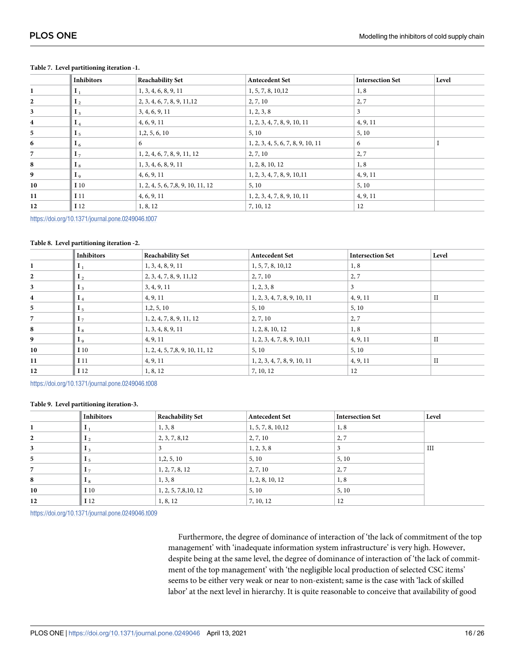|                         | <b>Inhibitors</b> | <b>Reachability Set</b>           | <b>Antecedent Set</b>             | <b>Intersection Set</b> | Level |
|-------------------------|-------------------|-----------------------------------|-----------------------------------|-------------------------|-------|
| 1                       | $I_1$             | 1, 3, 4, 6, 8, 9, 11              | 1, 5, 7, 8, 10, 12                | 1, 8                    |       |
| $\mathbf{2}$            | I <sub>2</sub>    | 2, 3, 4, 6, 7, 8, 9, 11, 12       | 2, 7, 10                          | 2,7                     |       |
| $\mathbf{3}$            | I <sub>3</sub>    | 3, 4, 6, 9, 11                    | 1, 2, 3, 8                        | 3                       |       |
| $\overline{\mathbf{4}}$ | $I_4$             | 4, 6, 9, 11                       | 1, 2, 3, 4, 7, 8, 9, 10, 11       | 4, 9, 11                |       |
| 5                       | I <sub>5</sub>    | 1,2,5,6,10                        | 5, 10                             | 5, 10                   |       |
| 6                       | $I_6$             | 6                                 | 1, 2, 3, 4, 5, 6, 7, 8, 9, 10, 11 | 6                       |       |
| $\overline{7}$          | I <sub>7</sub>    | 1, 2, 4, 6, 7, 8, 9, 11, 12       | 2, 7, 10                          | 2,7                     |       |
| 8                       | I <sub>8</sub>    | 1, 3, 4, 6, 8, 9, 11              | 1, 2, 8, 10, 12                   | 1, 8                    |       |
| 9                       | I <sub>9</sub>    | 4, 6, 9, 11                       | 1, 2, 3, 4, 7, 8, 9, 10, 11       | 4, 9, 11                |       |
| 10                      | I <sub>10</sub>   | 1, 2, 4, 5, 6, 7,8, 9, 10, 11, 12 | 5, 10                             | 5, 10                   |       |
| 11                      | I <sub>11</sub>   | 4, 6, 9, 11                       | 1, 2, 3, 4, 7, 8, 9, 10, 11       | 4, 9, 11                |       |
| 12                      | I 12              | 1, 8, 12                          | 7, 10, 12                         | 12                      |       |

#### <span id="page-15-0"></span>**[Table 7.](#page-13-0) Level partitioning iteration -1.**

<https://doi.org/10.1371/journal.pone.0249046.t007>

#### **Table 8. Level partitioning iteration -2.**

|                         | <b>Inhibitors</b> | <b>Reachability Set</b>        | <b>Antecedent Set</b>       | <b>Intersection Set</b> | Level        |
|-------------------------|-------------------|--------------------------------|-----------------------------|-------------------------|--------------|
|                         | $I_1$             | 1, 3, 4, 8, 9, 11              | 1, 5, 7, 8, 10, 12          | 1, 8                    |              |
| $\mathbf{2}$            | I <sub>2</sub>    | 2, 3, 4, 7, 8, 9, 11, 12       | 2, 7, 10                    | 2,7                     |              |
| 3                       | $I_3$             | 3, 4, 9, 11                    | 1, 2, 3, 8                  | 3                       |              |
| $\overline{\mathbf{4}}$ | $I_4$             | 4, 9, 11                       | 1, 2, 3, 4, 7, 8, 9, 10, 11 | 4, 9, 11                | $_{\rm II}$  |
| 5                       | I <sub>5</sub>    | 1, 2, 5, 10                    | 5, 10                       | 5, 10                   |              |
| 7                       | I <sub>7</sub>    | 1, 2, 4, 7, 8, 9, 11, 12       | 2, 7, 10                    | 2, 7                    |              |
| 8                       | I <sub>8</sub>    | 1, 3, 4, 8, 9, 11              | 1, 2, 8, 10, 12             | 1, 8                    |              |
| 9                       | I <sub>9</sub>    | 4, 9, 11                       | 1, 2, 3, 4, 7, 8, 9, 10, 11 | 4, 9, 11                | $\mathbf{I}$ |
| 10                      | I 10              | 1, 2, 4, 5, 7,8, 9, 10, 11, 12 | 5, 10                       | 5, 10                   |              |
| 11                      | I <sub>11</sub>   | 4, 9, 11                       | 1, 2, 3, 4, 7, 8, 9, 10, 11 | 4, 9, 11                | $_{\rm II}$  |
| 12                      | I 12              | 1, 8, 12                       | 7, 10, 12                   | 12                      |              |

<https://doi.org/10.1371/journal.pone.0249046.t008>

#### **Table 9. Level partitioning iteration-3.**

|    | <b>Inhibitors</b>         | <b>Reachability Set</b> | <b>Antecedent Set</b> | <b>Intersection Set</b> | Level |
|----|---------------------------|-------------------------|-----------------------|-------------------------|-------|
|    |                           | 1, 3, 8                 | 1, 5, 7, 8, 10, 12    | 1, 8                    |       |
| 2  | 1 <sub>2</sub>            | 2, 3, 7, 8, 12          | 2, 7, 10              | 2,7                     |       |
| 3  | $\mathbf{1}_3$            |                         | 1, 2, 3, 8            |                         | III   |
| 5  | $\mathbf{I}$              | 1, 2, 5, 10             | 5, 10                 | 5, 10                   |       |
| 7  | . $17$                    | 1, 2, 7, 8, 12          | 2, 7, 10              | 2,7                     |       |
| 8  | $\mathbf{I}$ $\mathbf{s}$ | 1, 3, 8                 | 1, 2, 8, 10, 12       | 1, 8                    |       |
| 10 | I <sub>10</sub>           | 1, 2, 5, 7,8, 10, 12    | 5, 10                 | 5, 10                   |       |
| 12 | I 12                      | 1, 8, 12                | 7, 10, 12             | 12                      |       |

<https://doi.org/10.1371/journal.pone.0249046.t009>

Furthermore, the degree of dominance of interaction of 'the lack of commitment of the top management' with 'inadequate information system infrastructure' is very high. However, despite being at the same level, the degree of dominance of interaction of 'the lack of commitment of the top management' with 'the negligible local production of selected CSC items' seems to be either very weak or near to non-existent; same is the case with 'lack of skilled labor' at the next level in hierarchy. It is quite reasonable to conceive that availability of good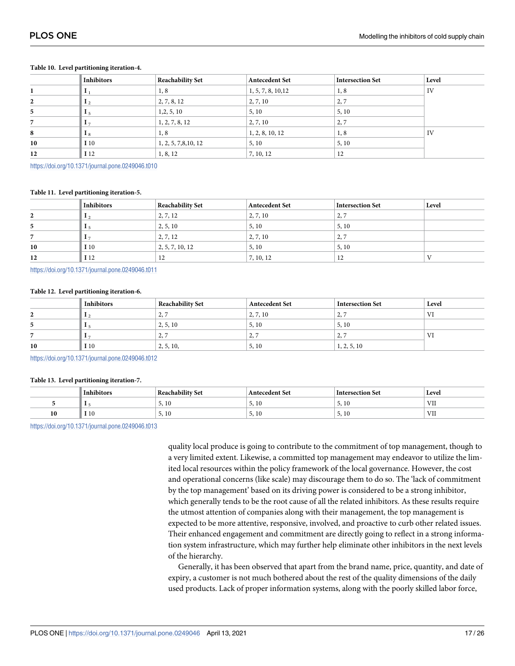|    | <b>Inhibitors</b>  | <b>Reachability Set</b> | <b>Antecedent Set</b> | <b>Intersection Set</b> | Level |
|----|--------------------|-------------------------|-----------------------|-------------------------|-------|
|    |                    | 1, 8                    | 1, 5, 7, 8, 10, 12    | 1, 8                    | IV    |
| 2  | $\mathbf{1}_2$     | 2, 7, 8, 12             | 2, 7, 10              | 2,7                     |       |
| 5  | $\blacksquare$ 1 5 | 1, 2, 5, 10             | 5, 10                 | 5, 10                   |       |
|    | $\mathbf{1}$       | 1, 2, 7, 8, 12          | 2, 7, 10              | 2,7                     |       |
| 8  | $  \cdot  $        | 1, 8                    | 1, 2, 8, 10, 12       | 1, 8                    | IV    |
| 10 | I 10               | 1, 2, 5, 7,8, 10, 12    | 5, 10                 | 5, 10                   |       |
| 12 | $\blacksquare$ 12  | 1, 8, 12                | 7, 10, 12             | 12                      |       |

#### <span id="page-16-0"></span>**Table 10. Level partitioning iteration-4.**

<https://doi.org/10.1371/journal.pone.0249046.t010>

#### **Table 11. Level partitioning iteration-5.**

|    | <b>Inhibitors</b> | <b>Reachability Set</b> | <b>Antecedent Set</b> | <b>Intersection Set</b> | Level |
|----|-------------------|-------------------------|-----------------------|-------------------------|-------|
| 2  |                   | 2, 7, 12                | 2, 7, 10              | 2,7                     |       |
| 5. |                   | 2, 5, 10                | 5, 10                 | 5, 10                   |       |
|    | 17                | 2, 7, 12                | 2, 7, 10              | 2,7                     |       |
| 10 | I <sub>10</sub>   | 2, 5, 7, 10, 12         | 5, 10                 | 5, 10                   |       |
| 12 | I 12              | 12                      | 7, 10, 12             | 12                      |       |

<https://doi.org/10.1371/journal.pone.0249046.t011>

#### **Table 12. Level partitioning iteration-6.**

|              | <b>Inhibitors</b> | <b>Reachability Set</b>  | <b>Antecedent Set</b>    | Intersection Set | Level |
|--------------|-------------------|--------------------------|--------------------------|------------------|-------|
| ▵            |                   | $\overline{\phantom{a}}$ | 2, 7, 10                 | 2,7              | T     |
| $\mathbf{p}$ |                   | 2, 5, 10                 | 5, 10                    | 5, 10            |       |
|              |                   | $\overline{\phantom{a}}$ | $\overline{\phantom{a}}$ | 2,7              | V I   |
| 10           | 110               | 2, 5, 10,                | 5, 10                    | 1, 2, 5, 10      |       |

<https://doi.org/10.1371/journal.pone.0249046.t012>

#### **[Table 13.](#page-13-0) Level partitioning iteration-7.**

|    | Inhibitors | Reachability Set                         | <b>Antecedent Set</b> | Intersection Set | Level |
|----|------------|------------------------------------------|-----------------------|------------------|-------|
|    |            | $\mathbf{1}$ $\mathbf{0}$<br>5.10        | 5,10                  | 10<br>۰,         | VII   |
| 10 | I 10       | $\mathbf{1}$ $\mathbf{0}$<br>$J_1$ 1 $V$ | - T O<br>٠            | 10<br>۰,         | VII   |

<https://doi.org/10.1371/journal.pone.0249046.t013>

quality local produce is going to contribute to the commitment of top management, though to a very limited extent. Likewise, a committed top management may endeavor to utilize the limited local resources within the policy framework of the local governance. However, the cost and operational concerns (like scale) may discourage them to do so. The 'lack of commitment by the top management' based on its driving power is considered to be a strong inhibitor, which generally tends to be the root cause of all the related inhibitors. As these results require the utmost attention of companies along with their management, the top management is expected to be more attentive, responsive, involved, and proactive to curb other related issues. Their enhanced engagement and commitment are directly going to reflect in a strong information system infrastructure, which may further help eliminate other inhibitors in the next levels of the hierarchy.

Generally, it has been observed that apart from the brand name, price, quantity, and date of expiry, a customer is not much bothered about the rest of the quality dimensions of the daily used products. Lack of proper information systems, along with the poorly skilled labor force,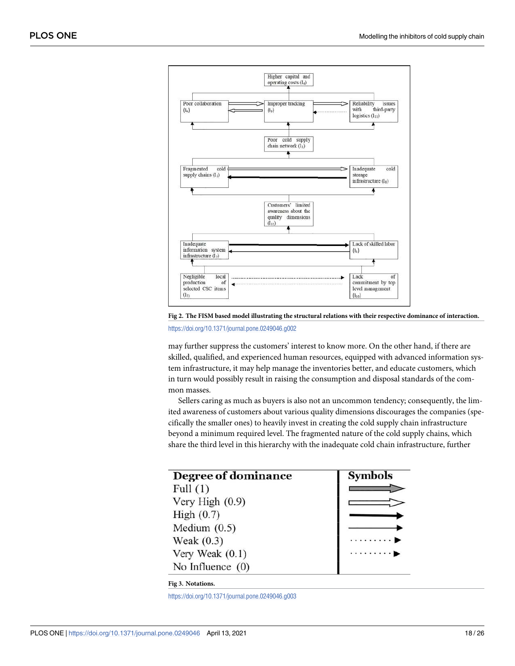<span id="page-17-0"></span>

**[Fig 2. T](#page-13-0)he FISM based model illustrating the structural relations with their respective dominance of interaction.** <https://doi.org/10.1371/journal.pone.0249046.g002>

may further suppress the customers' interest to know more. On the other hand, if there are skilled, qualified, and experienced human resources, equipped with advanced information system infrastructure, it may help manage the inventories better, and educate customers, which in turn would possibly result in raising the consumption and disposal standards of the common masses.

Sellers caring as much as buyers is also not an uncommon tendency; consequently, the limited awareness of customers about various quality dimensions discourages the companies (specifically the smaller ones) to heavily invest in creating the cold supply chain infrastructure beyond a minimum required level. The fragmented nature of the cold supply chains, which share the third level in this hierarchy with the inadequate cold chain infrastructure, further

| Degree of dominance | <b>Symbols</b> |
|---------------------|----------------|
| Full $(1)$          |                |
| Very High (0.9)     |                |
| High $(0.7)$        |                |
| Medium $(0.5)$      |                |
| Weak $(0.3)$        | . b            |
| Very Weak $(0.1)$   | . 1            |
| No Influence $(0)$  |                |

#### **[Fig 3. N](#page-13-0)otations.**

<https://doi.org/10.1371/journal.pone.0249046.g003>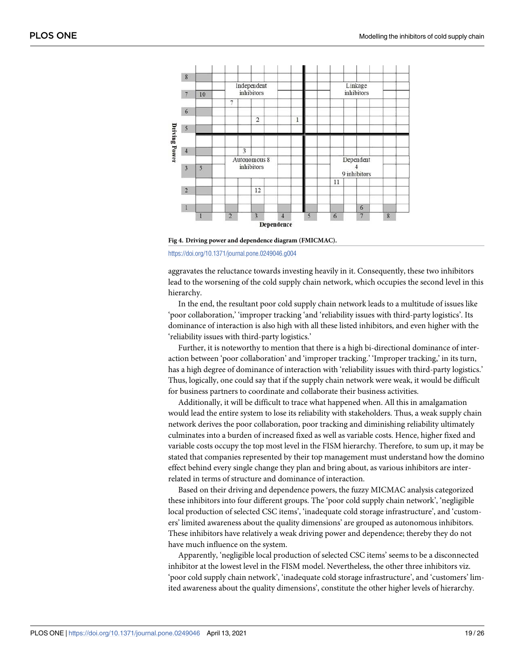<span id="page-18-0"></span>

**[Fig 4. D](#page-14-0)riving power and dependence diagram (FMICMAC).**

#### <https://doi.org/10.1371/journal.pone.0249046.g004>

aggravates the reluctance towards investing heavily in it. Consequently, these two inhibitors lead to the worsening of the cold supply chain network, which occupies the second level in this hierarchy.

In the end, the resultant poor cold supply chain network leads to a multitude of issues like 'poor collaboration,' 'improper tracking 'and 'reliability issues with third-party logistics'. Its dominance of interaction is also high with all these listed inhibitors, and even higher with the 'reliability issues with third-party logistics.'

Further, it is noteworthy to mention that there is a high bi-directional dominance of interaction between 'poor collaboration' and 'improper tracking.' 'Improper tracking,' in its turn, has a high degree of dominance of interaction with 'reliability issues with third-party logistics.' Thus, logically, one could say that if the supply chain network were weak, it would be difficult for business partners to coordinate and collaborate their business activities.

Additionally, it will be difficult to trace what happened when. All this in amalgamation would lead the entire system to lose its reliability with stakeholders. Thus, a weak supply chain network derives the poor collaboration, poor tracking and diminishing reliability ultimately culminates into a burden of increased fixed as well as variable costs. Hence, higher fixed and variable costs occupy the top most level in the FISM hierarchy. Therefore, to sum up, it may be stated that companies represented by their top management must understand how the domino effect behind every single change they plan and bring about, as various inhibitors are interrelated in terms of structure and dominance of interaction.

Based on their driving and dependence powers, the fuzzy MICMAC analysis categorized these inhibitors into four different groups. The 'poor cold supply chain network', 'negligible local production of selected CSC items', 'inadequate cold storage infrastructure', and 'customers' limited awareness about the quality dimensions' are grouped as autonomous inhibitors. These inhibitors have relatively a weak driving power and dependence; thereby they do not have much influence on the system.

Apparently, 'negligible local production of selected CSC items' seems to be a disconnected inhibitor at the lowest level in the FISM model. Nevertheless, the other three inhibitors viz. 'poor cold supply chain network', 'inadequate cold storage infrastructure', and 'customers' limited awareness about the quality dimensions', constitute the other higher levels of hierarchy.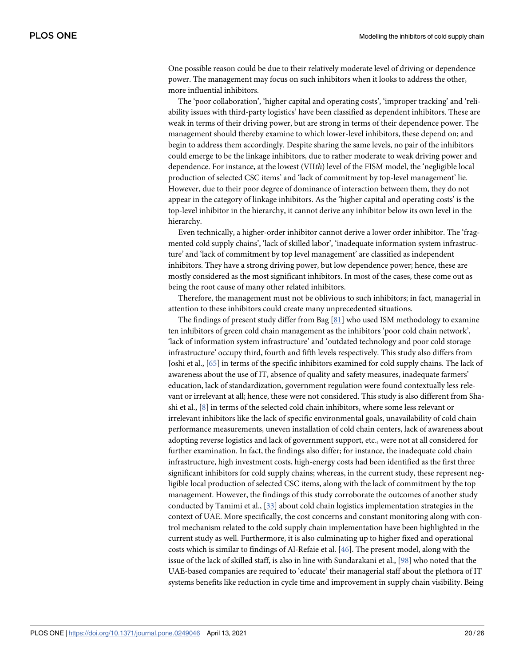<span id="page-19-0"></span>One possible reason could be due to their relatively moderate level of driving or dependence power. The management may focus on such inhibitors when it looks to address the other, more influential inhibitors.

The 'poor collaboration', 'higher capital and operating costs', 'improper tracking' and 'reliability issues with third-party logistics' have been classified as dependent inhibitors. These are weak in terms of their driving power, but are strong in terms of their dependence power. The management should thereby examine to which lower-level inhibitors, these depend on; and begin to address them accordingly. Despite sharing the same levels, no pair of the inhibitors could emerge to be the linkage inhibitors, due to rather moderate to weak driving power and dependence. For instance, at the lowest (VIIth) level of the FISM model, the 'negligible local production of selected CSC items' and 'lack of commitment by top-level management' lie. However, due to their poor degree of dominance of interaction between them, they do not appear in the category of linkage inhibitors. As the 'higher capital and operating costs' is the top-level inhibitor in the hierarchy, it cannot derive any inhibitor below its own level in the hierarchy.

Even technically, a higher-order inhibitor cannot derive a lower order inhibitor. The 'fragmented cold supply chains', 'lack of skilled labor', 'inadequate information system infrastructure' and 'lack of commitment by top level management' are classified as independent inhibitors. They have a strong driving power, but low dependence power; hence, these are mostly considered as the most significant inhibitors. In most of the cases, these come out as being the root cause of many other related inhibitors.

Therefore, the management must not be oblivious to such inhibitors; in fact, managerial in attention to these inhibitors could create many unprecedented situations.

The findings of present study differ from Bag  $[81]$  $[81]$  $[81]$  who used ISM methodology to examine ten inhibitors of green cold chain management as the inhibitors 'poor cold chain network', 'lack of information system infrastructure' and 'outdated technology and poor cold storage infrastructure' occupy third, fourth and fifth levels respectively. This study also differs from Joshi et al., [\[65\]](#page-23-0) in terms of the specific inhibitors examined for cold supply chains. The lack of awareness about the use of IT, absence of quality and safety measures, inadequate farmers' education, lack of standardization, government regulation were found contextually less relevant or irrelevant at all; hence, these were not considered. This study is also different from Shashi et al., [\[8\]](#page-21-0) in terms of the selected cold chain inhibitors, where some less relevant or irrelevant inhibitors like the lack of specific environmental goals, unavailability of cold chain performance measurements, uneven installation of cold chain centers, lack of awareness about adopting reverse logistics and lack of government support, etc., were not at all considered for further examination. In fact, the findings also differ; for instance, the inadequate cold chain infrastructure, high investment costs, high-energy costs had been identified as the first three significant inhibitors for cold supply chains; whereas, in the current study, these represent negligible local production of selected CSC items, along with the lack of commitment by the top management. However, the findings of this study corroborate the outcomes of another study conducted by Tamimi et al., [[33](#page-22-0)] about cold chain logistics implementation strategies in the context of UAE. More specifically, the cost concerns and constant monitoring along with control mechanism related to the cold supply chain implementation have been highlighted in the current study as well. Furthermore, it is also culminating up to higher fixed and operational costs which is similar to findings of Al-Refaie et al.  $[46]$  $[46]$  $[46]$ . The present model, along with the issue of the lack of skilled staff, is also in line with Sundarakani et al., [[98](#page-25-0)] who noted that the UAE-based companies are required to 'educate' their managerial staff about the plethora of IT systems benefits like reduction in cycle time and improvement in supply chain visibility. Being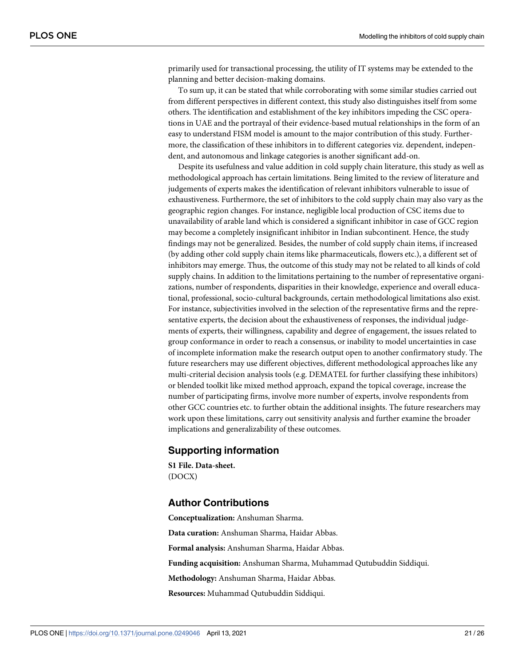<span id="page-20-0"></span>primarily used for transactional processing, the utility of IT systems may be extended to the planning and better decision-making domains.

To sum up, it can be stated that while corroborating with some similar studies carried out from different perspectives in different context, this study also distinguishes itself from some others. The identification and establishment of the key inhibitors impeding the CSC operations in UAE and the portrayal of their evidence-based mutual relationships in the form of an easy to understand FISM model is amount to the major contribution of this study. Furthermore, the classification of these inhibitors in to different categories viz. dependent, independent, and autonomous and linkage categories is another significant add-on.

Despite its usefulness and value addition in cold supply chain literature, this study as well as methodological approach has certain limitations. Being limited to the review of literature and judgements of experts makes the identification of relevant inhibitors vulnerable to issue of exhaustiveness. Furthermore, the set of inhibitors to the cold supply chain may also vary as the geographic region changes. For instance, negligible local production of CSC items due to unavailability of arable land which is considered a significant inhibitor in case of GCC region may become a completely insignificant inhibitor in Indian subcontinent. Hence, the study findings may not be generalized. Besides, the number of cold supply chain items, if increased (by adding other cold supply chain items like pharmaceuticals, flowers etc.), a different set of inhibitors may emerge. Thus, the outcome of this study may not be related to all kinds of cold supply chains. In addition to the limitations pertaining to the number of representative organizations, number of respondents, disparities in their knowledge, experience and overall educational, professional, socio-cultural backgrounds, certain methodological limitations also exist. For instance, subjectivities involved in the selection of the representative firms and the representative experts, the decision about the exhaustiveness of responses, the individual judgements of experts, their willingness, capability and degree of engagement, the issues related to group conformance in order to reach a consensus, or inability to model uncertainties in case of incomplete information make the research output open to another confirmatory study. The future researchers may use different objectives, different methodological approaches like any multi-criterial decision analysis tools (e.g. DEMATEL for further classifying these inhibitors) or blended toolkit like mixed method approach, expand the topical coverage, increase the number of participating firms, involve more number of experts, involve respondents from other GCC countries etc. to further obtain the additional insights. The future researchers may work upon these limitations, carry out sensitivity analysis and further examine the broader implications and generalizability of these outcomes.

## **Supporting information**

**[S1 File.](http://www.plosone.org/article/fetchSingleRepresentation.action?uri=info:doi/10.1371/journal.pone.0249046.s001) Data-sheet.** (DOCX)

## **Author Contributions**

**Conceptualization:** Anshuman Sharma. **Data curation:** Anshuman Sharma, Haidar Abbas. **Formal analysis:** Anshuman Sharma, Haidar Abbas. **Funding acquisition:** Anshuman Sharma, Muhammad Qutubuddin Siddiqui. **Methodology:** Anshuman Sharma, Haidar Abbas. **Resources:** Muhammad Qutubuddin Siddiqui.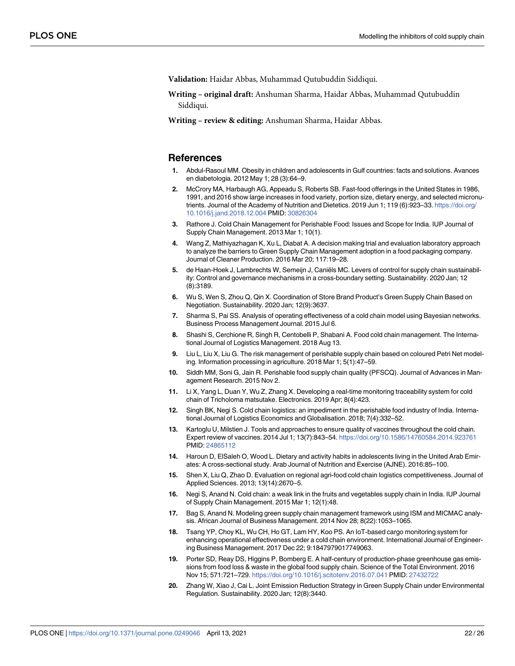<span id="page-21-0"></span>**Validation:** Haidar Abbas, Muhammad Qutubuddin Siddiqui.

**Writing – original draft:** Anshuman Sharma, Haidar Abbas, Muhammad Qutubuddin Siddiqui.

**Writing – review & editing:** Anshuman Sharma, Haidar Abbas.

#### **References**

- **[1](#page-1-0).** Abdul-Rasoul MM. Obesity in children and adolescents in Gulf countries: facts and solutions. Avances en diabetologia. 2012 May 1; 28 (3):64–9.
- **[2](#page-1-0).** McCrory MA, Harbaugh AG, Appeadu S, Roberts SB. Fast-food offerings in the United States in 1986, 1991, and 2016 show large increases in food variety, portion size, dietary energy, and selected micronutrients. Journal of the Academy of Nutrition and Dietetics. 2019 Jun 1; 119 (6):923-33. [https://doi.org/](https://doi.org/10.1016/j.jand.2018.12.004) [10.1016/j.jand.2018.12.004](https://doi.org/10.1016/j.jand.2018.12.004) PMID: [30826304](http://www.ncbi.nlm.nih.gov/pubmed/30826304)
- **[3](#page-1-0).** Rathore J. Cold Chain Management for Perishable Food: Issues and Scope for India. IUP Journal of Supply Chain Management. 2013 Mar 1; 10(1).
- **[4](#page-1-0).** Wang Z, Mathiyazhagan K, Xu L, Diabat A. A decision making trial and evaluation laboratory approach to analyze the barriers to Green Supply Chain Management adoption in a food packaging company. Journal of Cleaner Production. 2016 Mar 20; 117:19–28.
- **[5](#page-1-0).** de Haan-Hoek J, Lambrechts W, Semeijn J, Caniëls MC. Levers of control for supply chain sustainability: Control and governance mechanisms in a cross-boundary setting. Sustainability. 2020 Jan; 12 (8):3189.
- **[6](#page-1-0).** Wu S, Wen S, Zhou Q, Qin X. Coordination of Store Brand Product's Green Supply Chain Based on Negotiation. Sustainability. 2020 Jan; 12(9):3637.
- **[7](#page-1-0).** Sharma S, Pai SS. Analysis of operating effectiveness of a cold chain model using Bayesian networks. Business Process Management Journal. 2015 Jul 6.
- **[8](#page-1-0).** Shashi S, Cerchione R, Singh R, Centobelli P, Shabani A. Food cold chain management. The International Journal of Logistics Management. 2018 Aug 13.
- **[9](#page-1-0).** Liu L, Liu X, Liu G. The risk management of perishable supply chain based on coloured Petri Net modeling. Information processing in agriculture. 2018 Mar 1; 5(1):47–59.
- **[10](#page-1-0).** Siddh MM, Soni G, Jain R. Perishable food supply chain quality (PFSCQ). Journal of Advances in Management Research. 2015 Nov 2.
- **[11](#page-1-0).** Li X, Yang L, Duan Y, Wu Z, Zhang X. Developing a real-time monitoring traceability system for cold chain of Tricholoma matsutake. Electronics. 2019 Apr; 8(4):423.
- **[12](#page-1-0).** Singh BK, Negi S. Cold chain logistics: an impediment in the perishable food industry of India. International Journal of Logistics Economics and Globalisation. 2018; 7(4):332–52.
- **[13](#page-1-0).** Kartoglu U, Milstien J. Tools and approaches to ensure quality of vaccines throughout the cold chain. Expert review of vaccines. 2014 Jul 1; 13(7):843–54. <https://doi.org/10.1586/14760584.2014.923761> PMID: [24865112](http://www.ncbi.nlm.nih.gov/pubmed/24865112)
- **[14](#page-1-0).** Haroun D, ElSaleh O, Wood L. Dietary and activity habits in adolescents living in the United Arab Emirates: A cross-sectional study. Arab Journal of Nutrition and Exercise (AJNE). 2016:85–100.
- **[15](#page-1-0).** Shen X, Liu Q, Zhao D. Evaluation on regional agri-food cold chain logistics competitiveness. Journal of Applied Sciences. 2013; 13(14):2670–5.
- **[16](#page-1-0).** Negi S, Anand N. Cold chain: a weak link in the fruits and vegetables supply chain in India. IUP Journal of Supply Chain Management. 2015 Mar 1; 12(1):48.
- **[17](#page-1-0).** Bag S, Anand N. Modeling green supply chain management framework using ISM and MICMAC analysis. African Journal of Business Management. 2014 Nov 28; 8(22):1053–1065.
- **[18](#page-2-0).** Tsang YP, Choy KL, Wu CH, Ho GT, Lam HY, Koo PS. An IoT-based cargo monitoring system for enhancing operational effectiveness under a cold chain environment. International Journal of Engineering Business Management. 2017 Dec 22; 9:1847979017749063.
- **[19](#page-2-0).** Porter SD, Reay DS, Higgins P, Bomberg E. A half-century of production-phase greenhouse gas emissions from food loss & waste in the global food supply chain. Science of the Total Environment. 2016 Nov 15; 571:721–729. <https://doi.org/10.1016/j.scitotenv.2016.07.041> PMID: [27432722](http://www.ncbi.nlm.nih.gov/pubmed/27432722)
- **[20](#page-2-0).** Zhang W, Xiao J, Cai L. Joint Emission Reduction Strategy in Green Supply Chain under Environmental Regulation. Sustainability. 2020 Jan; 12(8):3440.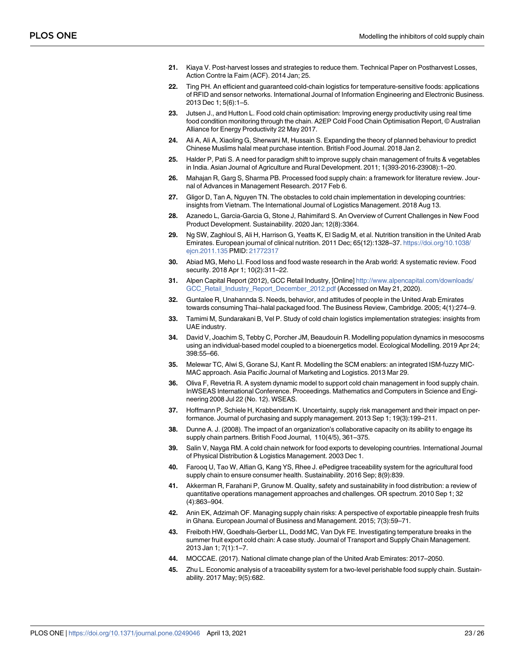- <span id="page-22-0"></span>**[21](#page-2-0).** Kiaya V. Post-harvest losses and strategies to reduce them. Technical Paper on Postharvest Losses, Action Contre la Faim (ACF). 2014 Jan; 25.
- **[22](#page-2-0).** Ting PH. An efficient and guaranteed cold-chain logistics for temperature-sensitive foods: applications of RFID and sensor networks. International Journal of Information Engineering and Electronic Business. 2013 Dec 1; 5(6):1–5.
- **[23](#page-2-0).** Jutsen J., and Hutton L. Food cold chain optimisation: Improving energy productivity using real time food condition monitoring through the chain. A2EP Cold Food Chain Optimisation Report, © Australian Alliance for Energy Productivity 22 May 2017.
- **[24](#page-2-0).** Ali A, Ali A, Xiaoling G, Sherwani M, Hussain S. Expanding the theory of planned behaviour to predict Chinese Muslims halal meat purchase intention. British Food Journal. 2018 Jan 2.
- **[25](#page-2-0).** Halder P, Pati S. A need for paradigm shift to improve supply chain management of fruits & vegetables in India. Asian Journal of Agriculture and Rural Development. 2011; 1(393-2016-23908):1–20.
- **[26](#page-2-0).** Mahajan R, Garg S, Sharma PB. Processed food supply chain: a framework for literature review. Journal of Advances in Management Research. 2017 Feb 6.
- **[27](#page-2-0).** Gligor D, Tan A, Nguyen TN. The obstacles to cold chain implementation in developing countries: insights from Vietnam. The International Journal of Logistics Management. 2018 Aug 13.
- **[28](#page-3-0).** Azanedo L, Garcia-Garcia G, Stone J, Rahimifard S. An Overview of Current Challenges in New Food Product Development. Sustainability. 2020 Jan; 12(8):3364.
- **[29](#page-3-0).** Ng SW, Zaghloul S, Ali H, Harrison G, Yeatts K, El Sadig M, et al. Nutrition transition in the United Arab Emirates. European journal of clinical nutrition. 2011 Dec; 65(12):1328–37. [https://doi.org/10.1038/](https://doi.org/10.1038/ejcn.2011.135) [ejcn.2011.135](https://doi.org/10.1038/ejcn.2011.135) PMID: [21772317](http://www.ncbi.nlm.nih.gov/pubmed/21772317)
- **[30](#page-3-0).** Abiad MG, Meho LI. Food loss and food waste research in the Arab world: A systematic review. Food security. 2018 Apr 1; 10(2):311–22.
- **[31](#page-3-0).** Alpen Capital Report (2012), GCC Retail Industry, [Online] [http://www.alpencapital.com/downloads/](http://www.alpencapital.com/downloads/GCC_Retail_Industry_Report_December_2012.pdf) [GCC\\_Retail\\_Industry\\_Report\\_December\\_2012.pdf](http://www.alpencapital.com/downloads/GCC_Retail_Industry_Report_December_2012.pdf) (Accessed on May 21, 2020).
- **[32](#page-3-0).** Guntalee R, Unahannda S. Needs, behavior, and attitudes of people in the United Arab Emirates towards consuming Thai–halal packaged food. The Business Review, Cambridge. 2005; 4(1):274–9.
- **[33](#page-3-0).** Tamimi M, Sundarakani B, Vel P. Study of cold chain logistics implementation strategies: insights from UAE industry.
- **[34](#page-4-0).** David V, Joachim S, Tebby C, Porcher JM, Beaudouin R. Modelling population dynamics in mesocosms using an individual-based model coupled to a bioenergetics model. Ecological Modelling. 2019 Apr 24; 398:55–66.
- **[35](#page-4-0).** Melewar TC, Alwi S, Gorane SJ, Kant R. Modelling the SCM enablers: an integrated ISM-fuzzy MIC-MAC approach. Asia Pacific Journal of Marketing and Logistics. 2013 Mar 29.
- **[36](#page-4-0).** Oliva F, Revetria R. A system dynamic model to support cold chain management in food supply chain. InWSEAS International Conference. Proceedings. Mathematics and Computers in Science and Engineering 2008 Jul 22 (No. 12). WSEAS.
- **[37](#page-4-0).** Hoffmann P, Schiele H, Krabbendam K. Uncertainty, supply risk management and their impact on performance. Journal of purchasing and supply management. 2013 Sep 1; 19(3):199–211.
- **[38](#page-4-0).** Dunne A. J. (2008). The impact of an organization's collaborative capacity on its ability to engage its supply chain partners. British Food Journal, 110(4/5), 361–375.
- **[39](#page-4-0).** Salin V, Nayga RM. A cold chain network for food exports to developing countries. International Journal of Physical Distribution & Logistics Management. 2003 Dec 1.
- **[40](#page-4-0).** Farooq U, Tao W, Alfian G, Kang YS, Rhee J. ePedigree traceability system for the agricultural food supply chain to ensure consumer health. Sustainability. 2016 Sep; 8(9):839.
- **[41](#page-4-0).** Akkerman R, Farahani P, Grunow M. Quality, safety and sustainability in food distribution: a review of quantitative operations management approaches and challenges. OR spectrum. 2010 Sep 1; 32 (4):863–904.
- **[42](#page-5-0).** Anin EK, Adzimah OF. Managing supply chain risks: A perspective of exportable pineapple fresh fruits in Ghana. European Journal of Business and Management. 2015; 7(3):59–71.
- **[43](#page-5-0).** Freiboth HW, Goedhals-Gerber LL, Dodd MC, Van Dyk FE. Investigating temperature breaks in the summer fruit export cold chain: A case study. Journal of Transport and Supply Chain Management. 2013 Jan 1; 7(1):1–7.
- **[44](#page-5-0).** MOCCAE. (2017). National climate change plan of the United Arab Emirates: 2017–2050.
- **[45](#page-5-0).** Zhu L. Economic analysis of a traceability system for a two-level perishable food supply chain. Sustainability. 2017 May; 9(5):682.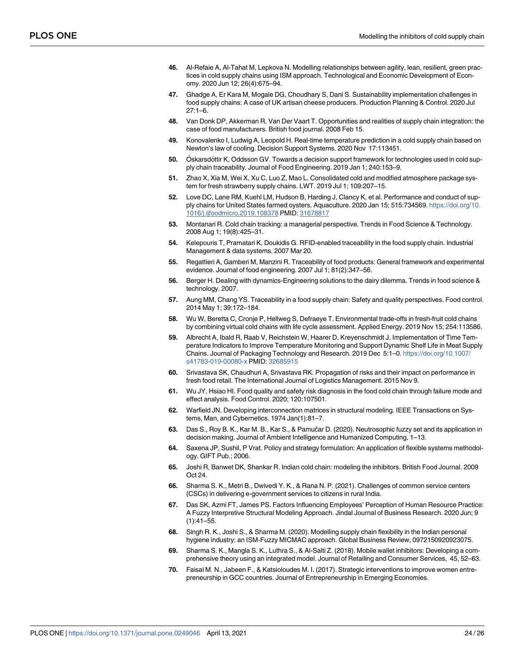- <span id="page-23-0"></span>**[46](#page-5-0).** Al-Refaie A, Al-Tahat M, Lepkova N. Modelling relationships between agility, lean, resilient, green practices in cold supply chains using ISM approach. Technological and Economic Development of Economy. 2020 Jun 12; 26(4):675–94.
- **[47](#page-5-0).** Ghadge A, Er Kara M, Mogale DG, Choudhary S, Dani S. Sustainability implementation challenges in food supply chains: A case of UK artisan cheese producers. Production Planning & Control. 2020 Jul 27:1–6.
- **[48](#page-5-0).** Van Donk DP, Akkerman R, Van Der Vaart T. Opportunities and realities of supply chain integration: the case of food manufacturers. British food journal. 2008 Feb 15.
- **[49](#page-5-0).** Konovalenko I, Ludwig A, Leopold H. Real-time temperature prediction in a cold supply chain based on Newton's law of cooling. Decision Support Systems. 2020 Nov 17:113451.
- **[50](#page-5-0).** Oskarsdottir K, Oddsson GV. Towards a decision support framework for technologies used in cold supply chain traceability. Journal of Food Engineering. 2019 Jan 1; 240:153–9.
- **[51](#page-5-0).** Zhao X, Xia M, Wei X, Xu C, Luo Z, Mao L. Consolidated cold and modified atmosphere package system for fresh strawberry supply chains. LWT. 2019 Jul 1; 109:207–15.
- **[52](#page-6-0).** Love DC, Lane RM, Kuehl LM, Hudson B, Harding J, Clancy K, et al. Performance and conduct of supply chains for United States farmed oysters. Aquaculture. 2020 Jan 15; 515:734569. [https://doi.org/10.](https://doi.org/10.1016/j.ijfoodmicro.2019.108378) [1016/j.ijfoodmicro.2019.108378](https://doi.org/10.1016/j.ijfoodmicro.2019.108378) PMID: [31678817](http://www.ncbi.nlm.nih.gov/pubmed/31678817)
- **[53](#page-6-0).** Montanari R. Cold chain tracking: a managerial perspective. Trends in Food Science & Technology. 2008 Aug 1; 19(8):425–31.
- **[54](#page-7-0).** Kelepouris T, Pramatari K, Doukidis G. RFID-enabled traceability in the food supply chain. Industrial Management & data systems. 2007 Mar 20.
- **55.** Regattieri A, Gamberi M, Manzini R. Traceability of food products: General framework and experimental evidence. Journal of food engineering. 2007 Jul 1; 81(2):347–56.
- **[56](#page-6-0).** Berger H. Dealing with dynamics-Engineering solutions to the dairy dilemma. Trends in food science & technology. 2007.
- **[57](#page-6-0).** Aung MM, Chang YS. Traceability in a food supply chain: Safety and quality perspectives. Food control. 2014 May 1; 39:172–184.
- **[58](#page-6-0).** Wu W, Beretta C, Cronje P, Hellweg S, Defraeye T. Environmental trade-offs in fresh-fruit cold chains by combining virtual cold chains with life cycle assessment. Applied Energy. 2019 Nov 15; 254:113586.
- **[59](#page-6-0).** Albrecht A, Ibald R, Raab V, Reichstein W, Haarer D, Kreyenschmidt J. Implementation of Time Temperature Indicators to Improve Temperature Monitoring and Support Dynamic Shelf Life in Meat Supply Chains. Journal of Packaging Technology and Research. 2019 Dec 5:1–0. [https://doi.org/10.1007/](https://doi.org/10.1007/s41783-019-00080-x) [s41783-019-00080-x](https://doi.org/10.1007/s41783-019-00080-x) PMID: [32685915](http://www.ncbi.nlm.nih.gov/pubmed/32685915)
- **[60](#page-6-0).** Srivastava SK, Chaudhuri A, Srivastava RK. Propagation of risks and their impact on performance in fresh food retail. The International Journal of Logistics Management. 2015 Nov 9.
- **[61](#page-6-0).** Wu JY, Hsiao HI. Food quality and safety risk diagnosis in the food cold chain through failure mode and effect analysis. Food Control. 2020; 120:107501.
- **[62](#page-8-0).** Warfield JN. Developing interconnection matrices in structural modeling. IEEE Transactions on Systems, Man, and Cybernetics. 1974 Jan(1):81–7.
- **[63](#page-8-0).** Das S., Roy B. K., Kar M. B., Kar S., & Pamučar D. (2020). Neutrosophic fuzzy set and its application in decision making. Journal of Ambient Intelligence and Humanized Computing, 1–13.
- **[64](#page-8-0).** Saxena JP, Sushil, P Vrat. Policy and strategy formulation: An application of flexible systems methodology. GIFT Pub.; 2006.
- **[65](#page-8-0).** Joshi R, Banwet DK, Shankar R. Indian cold chain: modeling the inhibitors. British Food Journal. 2009 Oct 24.
- **[66](#page-9-0).** Sharma S. K., Metri B., Dwivedi Y. K., & Rana N. P. (2021). Challenges of common service centers (CSCs) in delivering e-government services to citizens in rural India.
- **[67](#page-9-0).** Das SK, Azmi FT, James PS. Factors Influencing Employees' Perception of Human Resource Practice: A Fuzzy Interpretive Structural Modeling Approach. Jindal Journal of Business Research. 2020 Jun; 9  $(1):41-55.$
- **[68](#page-9-0).** Singh R. K., Joshi S., & Sharma M. (2020). Modelling supply chain flexibility in the Indian personal hygiene industry: an ISM-Fuzzy MICMAC approach. Global Business Review, 0972150920923075.
- **[69](#page-9-0).** Sharma S. K., Mangla S. K., Luthra S., & Al-Salti Z. (2018). Mobile wallet inhibitors: Developing a comprehensive theory using an integrated model. Journal of Retailing and Consumer Services, 45, 52–63.
- **[70](#page-9-0).** Faisal M. N., Jabeen F., & Katsioloudes M. I. (2017). Strategic interventions to improve women entrepreneurship in GCC countries. Journal of Entrepreneurship in Emerging Economies.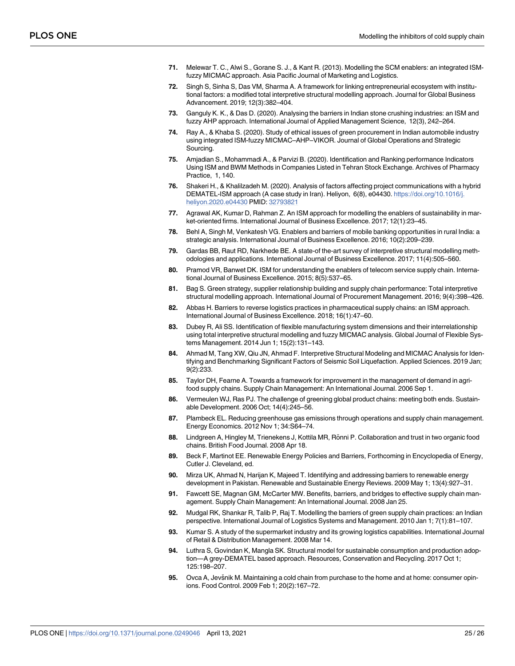- <span id="page-24-0"></span>**[71](#page-9-0).** Melewar T. C., Alwi S., Gorane S. J., & Kant R. (2013). Modelling the SCM enablers: an integrated ISMfuzzy MICMAC approach. Asia Pacific Journal of Marketing and Logistics.
- **[72](#page-9-0).** Singh S, Sinha S, Das VM, Sharma A. A framework for linking entrepreneurial ecosystem with institutional factors: a modified total interpretive structural modelling approach. Journal for Global Business Advancement. 2019; 12(3):382–404.
- **[73](#page-9-0).** Ganguly K. K., & Das D. (2020). Analysing the barriers in Indian stone crushing industries: an ISM and fuzzy AHP approach. International Journal of Applied Management Science, 12(3), 242–264.
- **[74](#page-9-0).** Ray A., & Khaba S. (2020). Study of ethical issues of green procurement in Indian automobile industry using integrated ISM-fuzzy MICMAC–AHP–VIKOR. Journal of Global Operations and Strategic Sourcing.
- **[75](#page-9-0).** Amjadian S., Mohammadi A., & Parvizi B. (2020). Identification and Ranking performance Indicators Using ISM and BWM Methods in Companies Listed in Tehran Stock Exchange. Archives of Pharmacy Practice, 1, 140.
- **[76](#page-9-0).** Shakeri H., & Khalilzadeh M. (2020). Analysis of factors affecting project communications with a hybrid DEMATEL-ISM approach (A case study in Iran). Heliyon, 6(8), e04430. [https://doi.org/10.1016/j.](https://doi.org/10.1016/j.heliyon.2020.e04430) [heliyon.2020.e04430](https://doi.org/10.1016/j.heliyon.2020.e04430) PMID: [32793821](http://www.ncbi.nlm.nih.gov/pubmed/32793821)
- **[77](#page-9-0).** Agrawal AK, Kumar D, Rahman Z. An ISM approach for modelling the enablers of sustainability in market-oriented firms. International Journal of Business Excellence. 2017; 12(1):23–45.
- **[78](#page-9-0).** Behl A, Singh M, Venkatesh VG. Enablers and barriers of mobile banking opportunities in rural India: a strategic analysis. International Journal of Business Excellence. 2016; 10(2):209–239.
- **[79](#page-9-0).** Gardas BB, Raut RD, Narkhede BE. A state-of the-art survey of interpretive structural modelling methodologies and applications. International Journal of Business Excellence. 2017; 11(4):505–560.
- **[80](#page-9-0).** Pramod VR, Banwet DK. ISM for understanding the enablers of telecom service supply chain. International Journal of Business Excellence. 2015; 8(5):537–65.
- **[81](#page-9-0).** Bag S. Green strategy, supplier relationship building and supply chain performance: Total interpretive structural modelling approach. International Journal of Procurement Management. 2016; 9(4):398–426.
- **[82](#page-9-0).** Abbas H. Barriers to reverse logistics practices in pharmaceutical supply chains: an ISM approach. International Journal of Business Excellence. 2018; 16(1):47–60.
- **[83](#page-10-0).** Dubey R, Ali SS. Identification of flexible manufacturing system dimensions and their interrelationship using total interpretive structural modelling and fuzzy MICMAC analysis. Global Journal of Flexible Systems Management. 2014 Jun 1; 15(2):131–143.
- **[84](#page-10-0).** Ahmad M, Tang XW, Qiu JN, Ahmad F. Interpretive Structural Modeling and MICMAC Analysis for Identifying and Benchmarking Significant Factors of Seismic Soil Liquefaction. Applied Sciences. 2019 Jan; 9(2):233.
- **[85](#page-12-0).** Taylor DH, Fearne A. Towards a framework for improvement in the management of demand in agrifood supply chains. Supply Chain Management: An International Journal. 2006 Sep 1.
- **[86](#page-12-0).** Vermeulen WJ, Ras PJ. The challenge of greening global product chains: meeting both ends. Sustainable Development. 2006 Oct; 14(4):245–56.
- **[87](#page-12-0).** Plambeck EL. Reducing greenhouse gas emissions through operations and supply chain management. Energy Economics. 2012 Nov 1; 34:S64–74.
- **[88](#page-12-0).** Lindgreen A, Hingley M, Trienekens J, Kottila MR, Rönni P. Collaboration and trust in two organic food chains. British Food Journal. 2008 Apr 18.
- **[89](#page-12-0).** Beck F, Martinot EE. Renewable Energy Policies and Barriers, Forthcoming in Encyclopedia of Energy, Cutler J. Cleveland, ed.
- **[90](#page-12-0).** Mirza UK, Ahmad N, Harijan K, Majeed T. Identifying and addressing barriers to renewable energy development in Pakistan. Renewable and Sustainable Energy Reviews. 2009 May 1; 13(4):927–31.
- **[91](#page-12-0).** Fawcett SE, Magnan GM, McCarter MW. Benefits, barriers, and bridges to effective supply chain management. Supply Chain Management: An International Journal. 2008 Jan 25.
- **[92](#page-12-0).** Mudgal RK, Shankar R, Talib P, Raj T. Modelling the barriers of green supply chain practices: an Indian perspective. International Journal of Logistics Systems and Management. 2010 Jan 1; 7(1):81–107.
- **[93](#page-12-0).** Kumar S. A study of the supermarket industry and its growing logistics capabilities. International Journal of Retail & Distribution Management. 2008 Mar 14.
- **[94](#page-12-0).** Luthra S, Govindan K, Mangla SK. Structural model for sustainable consumption and production adoption—A grey-DEMATEL based approach. Resources, Conservation and Recycling. 2017 Oct 1; 125:198–207.
- **[95](#page-12-0).** Ovca A, Jevšnik M. Maintaining a cold chain from purchase to the home and at home: consumer opinions. Food Control. 2009 Feb 1; 20(2):167–72.